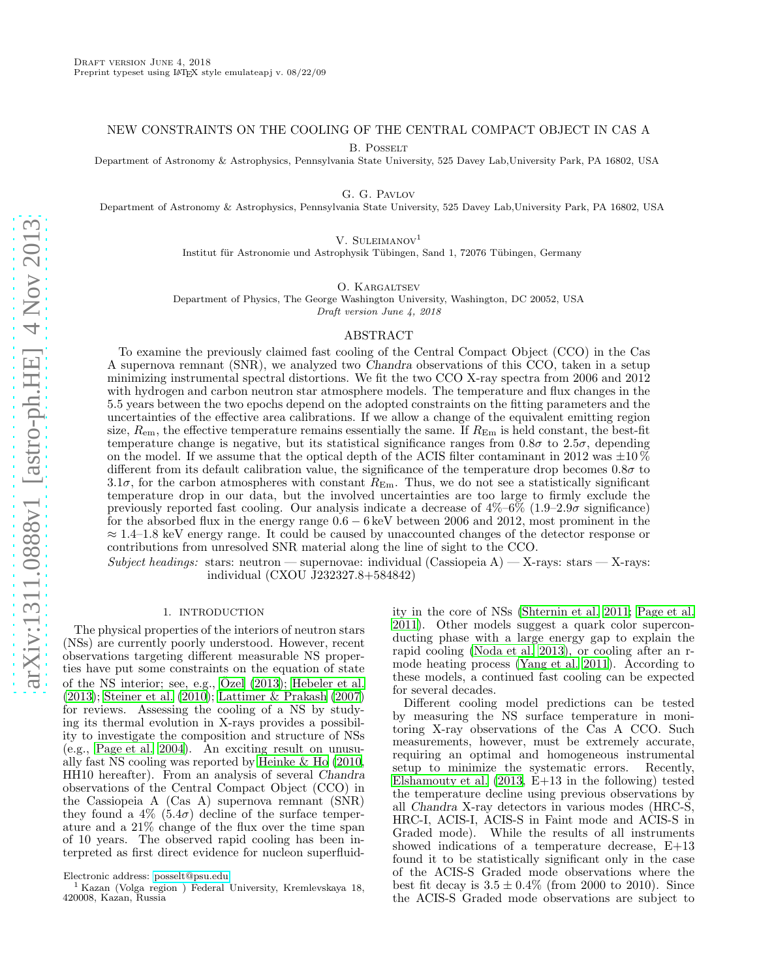## NEW CONSTRAINTS ON THE COOLING OF THE CENTRAL COMPACT OBJECT IN CAS A

B. POSSELT

Department of Astronomy & Astrophysics, Pennsylvania State University, 525 Davey Lab,University Park, PA 16802, USA

G. G. Pavlov

Department of Astronomy & Astrophysics, Pennsylvania State University, 525 Davey Lab,University Park, PA 16802, USA

V. SULEIMANOV<sup>1</sup>

Institut für Astronomie und Astrophysik Tübingen, Sand 1, 72076 Tübingen, Germany

O. KARGALTSEV

Department of Physics, The George Washington University, Washington, DC 20052, USA Draft version June 4, 2018

#### ABSTRACT

To examine the previously claimed fast cooling of the Central Compact Object (CCO) in the Cas A supernova remnant (SNR), we analyzed two Chandra observations of this CCO, taken in a setup minimizing instrumental spectral distortions. We fit the two CCO X-ray spectra from 2006 and 2012 with hydrogen and carbon neutron star atmosphere models. The temperature and flux changes in the 5.5 years between the two epochs depend on the adopted constraints on the fitting parameters and the uncertainties of the effective area calibrations. If we allow a change of the equivalent emitting region size,  $R_{\rm em}$ , the effective temperature remains essentially the same. If  $R_{\rm Em}$  is held constant, the best-fit temperature change is negative, but its statistical significance ranges from  $0.8\sigma$  to  $2.5\sigma$ , depending on the model. If we assume that the optical depth of the ACIS filter contaminant in 2012 was  $\pm 10\%$ different from its default calibration value, the significance of the temperature drop becomes  $0.8\sigma$  to 3.1 $\sigma$ , for the carbon atmospheres with constant  $R_{\text{Em}}$ . Thus, we do not see a statistically significant temperature drop in our data, but the involved uncertainties are too large to firmly exclude the previously reported fast cooling. Our analysis indicate a decrease of  $4\%-6\%$  (1.9–2.9 $\sigma$  significance) for the absorbed flux in the energy range 0.6 − 6 keV between 2006 and 2012, most prominent in the  $\approx 1.4$ –1.8 keV energy range. It could be caused by unaccounted changes of the detector response or contributions from unresolved SNR material along the line of sight to the CCO.

Subject headings: stars: neutron — supernovae: individual (Cassiopeia A) — X-rays: stars — X-rays: individual (CXOU J232327.8+584842)

### 1. INTRODUCTION

<span id="page-0-0"></span>The physical properties of the interiors of neutron stars (NSs) are currently poorly understood. However, recent observations targeting different measurable NS properties have put some constraints on the equation of state of the NS interior; see, e.g., Ozel  $(2013)$ ; [Hebeler et al.](#page-19-1) [\(2013\)](#page-19-1); [Steiner et al. \(2010](#page-19-2)); [Lattimer & Prakash \(2007](#page-19-3)) for reviews. Assessing the cooling of a NS by studying its thermal evolution in X-rays provides a possibility to investigate the composition and structure of NSs (e.g., [Page et al. 2004\)](#page-19-4). An exciting result on unusually fast NS cooling was reported by [Heinke & Ho \(2010,](#page-19-5) HH10 hereafter). From an analysis of several Chandra observations of the Central Compact Object (CCO) in the Cassiopeia A (Cas A) supernova remnant (SNR) they found a  $4\%$  (5.4 $\sigma$ ) decline of the surface temperature and a 21% change of the flux over the time span of 10 years. The observed rapid cooling has been interpreted as first direct evidence for nucleon superfluidity in the core of NSs [\(Shternin et al. 2011;](#page-19-6) [Page et al.](#page-19-7) [2011\)](#page-19-7). Other models suggest a quark color superconducting phase with a large energy gap to explain the rapid cooling [\(Noda et al. 2013](#page-19-8)), or cooling after an rmode heating process [\(Yang et al. 2011\)](#page-19-9). According to these models, a continued fast cooling can be expected for several decades.

Different cooling model predictions can be tested by measuring the NS surface temperature in monitoring X-ray observations of the Cas A CCO. Such measurements, however, must be extremely accurate, requiring an optimal and homogeneous instrumental setup to minimize the systematic errors. Recently, Elshamouty et al.  $(2013, \mathrm{E}+13)$  in the following) tested the temperature decline using previous observations by all Chandra X-ray detectors in various modes (HRC-S, HRC-I, ACIS-I, ACIS-S in Faint mode and ACIS-S in Graded mode). While the results of all instruments showed indications of a temperature decrease, E+13 found it to be statistically significant only in the case of the ACIS-S Graded mode observations where the best fit decay is  $3.5 \pm 0.4\%$  (from 2000 to 2010). Since the ACIS-S Graded mode observations are subject to

Electronic address: [posselt@psu.edu](mailto:posselt@psu.edu)

<sup>&</sup>lt;sup>1</sup> Kazan (Volga region) Federal University, Kremlevskaya 18, 420008, Kazan, Russia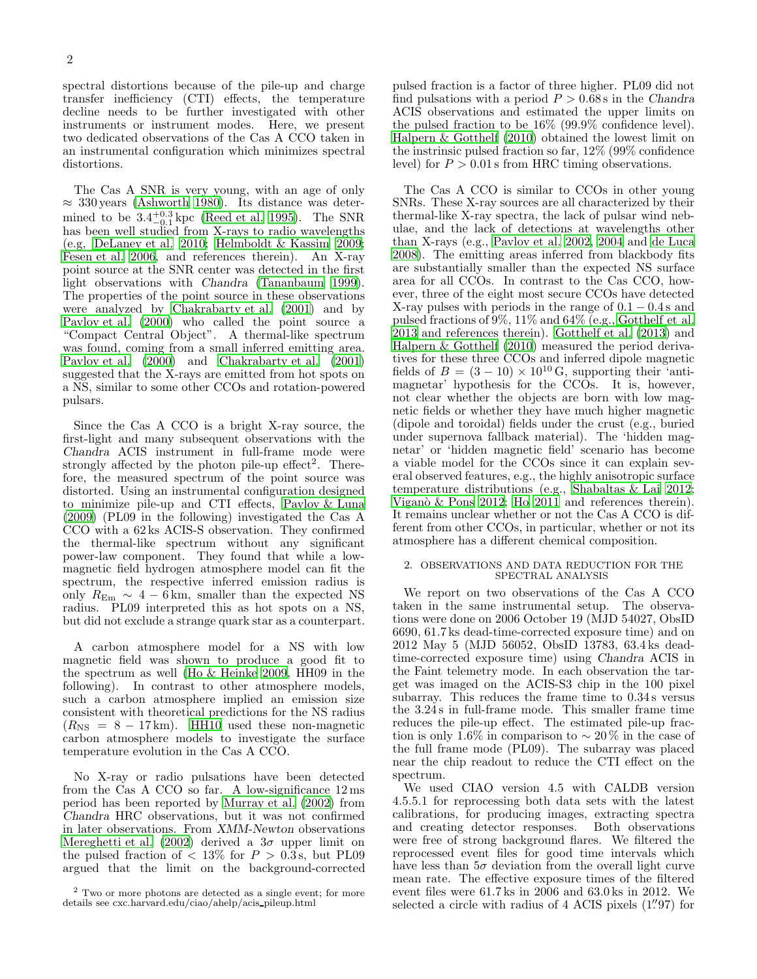spectral distortions because of the pile-up and charge transfer inefficiency (CTI) effects, the temperature decline needs to be further investigated with other instruments or instrument modes. Here, we present two dedicated observations of the Cas A CCO taken in an instrumental configuration which minimizes spectral distortions.

The Cas A SNR is very young, with an age of only  $\approx$  330 years [\(Ashworth 1980\)](#page-18-1). Its distance was determined to be  $3.4^{+0.3}_{-0.1}$  kpc [\(Reed et al. 1995\)](#page-19-10). The SNR has been well studied from X-rays to radio wavelengths (e.g, [DeLaney et al. 2010;](#page-18-2) [Helmboldt & Kassim 2009;](#page-19-11) [Fesen et al. 2006,](#page-19-12) and references therein). An X-ray point source at the SNR center was detected in the first light observations with Chandra [\(Tananbaum 1999\)](#page-19-13). The properties of the point source in these observations were analyzed by [Chakrabarty et al. \(2001\)](#page-18-3) and by [Pavlov et al. \(2000\)](#page-19-14) who called the point source a "Compact Central Object". A thermal-like spectrum was found, coming from a small inferred emitting area. [Pavlov et al. \(2000\)](#page-19-14) and [Chakrabarty et al. \(2001](#page-18-3)) suggested that the X-rays are emitted from hot spots on a NS, similar to some other CCOs and rotation-powered pulsars.

Since the Cas A CCO is a bright X-ray source, the first-light and many subsequent observations with the Chandra ACIS instrument in full-frame mode were strongly affected by the photon pile-up effect<sup>2</sup>. Therefore, the measured spectrum of the point source was distorted. Using an instrumental configuration designed to minimize pile-up and CTI effects, [Pavlov & Luna](#page-19-15) [\(2009\)](#page-19-15) (PL09 in the following) investigated the Cas A CCO with a 62 ks ACIS-S observation. They confirmed the thermal-like spectrum without any significant power-law component. They found that while a lowmagnetic field hydrogen atmosphere model can fit the spectrum, the respective inferred emission radius is only  $R_{\text{Em}} \sim 4 - 6 \text{ km}$ , smaller than the expected NS radius. PL09 interpreted this as hot spots on a NS, but did not exclude a strange quark star as a counterpart.

A carbon atmosphere model for a NS with low magnetic field was shown to produce a good fit to the spectrum as well [\(Ho & Heinke 2009](#page-19-16), HH09 in the following). In contrast to other atmosphere models, such a carbon atmosphere implied an emission size consistent with theoretical predictions for the NS radius  $(R_{\rm NS} = 8 - 17 \,\rm km)$ . [HH10](#page-19-5) used these non-magnetic carbon atmosphere models to investigate the surface temperature evolution in the Cas A CCO.

No X-ray or radio pulsations have been detected from the Cas A CCO so far. A low-significance 12 ms period has been reported by [Murray et al. \(2002\)](#page-19-17) from Chandra HRC observations, but it was not confirmed in later observations. From XMM-Newton observations [Mereghetti et al. \(2002](#page-19-18)) derived a  $3\sigma$  upper limit on the pulsed fraction of  $\langle 13\%$  for  $P > 0.3$  s, but PL09 argued that the limit on the background-corrected

pulsed fraction is a factor of three higher. PL09 did not find pulsations with a period  $P > 0.68$  s in the Chandra ACIS observations and estimated the upper limits on the pulsed fraction to be 16% (99.9% confidence level). [Halpern & Gotthelf \(2010\)](#page-19-19) obtained the lowest limit on the instrinsic pulsed fraction so far, 12% (99% confidence level) for  $P > 0.01$  s from HRC timing observations.

The Cas A CCO is similar to CCOs in other young SNRs. These X-ray sources are all characterized by their thermal-like X-ray spectra, the lack of pulsar wind nebulae, and the lack of detections at wavelengths other than X-rays (e.g., [Pavlov et al. 2002,](#page-19-20) [2004](#page-19-21) and [de Luca](#page-18-4) [2008\)](#page-18-4). The emitting areas inferred from blackbody fits are substantially smaller than the expected NS surface area for all CCOs. In contrast to the Cas CCO, however, three of the eight most secure CCOs have detected X-ray pulses with periods in the range of  $0.1 - 0.4$  s and pulsed fractions of 9%, 11% and 64% (e.g., [Gotthelf et al.](#page-19-22) [2013](#page-19-22) and references therein). [Gotthelf et al. \(2013\)](#page-19-22) and [Halpern & Gotthelf \(2010\)](#page-19-19) measured the period derivatives for these three CCOs and inferred dipole magnetic fields of  $B = (3 - 10) \times 10^{10}$  G, supporting their 'antimagnetar' hypothesis for the CCOs. It is, however, not clear whether the objects are born with low magnetic fields or whether they have much higher magnetic (dipole and toroidal) fields under the crust (e.g., buried under supernova fallback material). The 'hidden magnetar' or 'hidden magnetic field' scenario has become a viable model for the CCOs since it can explain several observed features, e.g., the highly anisotropic surface temperature distributions (e.g., [Shabaltas & Lai 2012](#page-19-23); Viganò  $\&$  Pons 2012; [Ho 2011](#page-19-25) and references therein). It remains unclear whether or not the Cas A CCO is different from other CCOs, in particular, whether or not its atmosphere has a different chemical composition.

## <span id="page-1-0"></span>2. OBSERVATIONS AND DATA REDUCTION FOR THE SPECTRAL ANALYSIS

We report on two observations of the Cas A CCO taken in the same instrumental setup. The observations were done on 2006 October 19 (MJD 54027, ObsID 6690, 61.7 ks dead-time-corrected exposure time) and on 2012 May 5 (MJD 56052, ObsID 13783, 63.4 ks deadtime-corrected exposure time) using Chandra ACIS in the Faint telemetry mode. In each observation the target was imaged on the ACIS-S3 chip in the 100 pixel subarray. This reduces the frame time to 0.34 s versus the 3.24 s in full-frame mode. This smaller frame time reduces the pile-up effect. The estimated pile-up fraction is only 1.6% in comparison to  $\sim 20\%$  in the case of the full frame mode (PL09). The subarray was placed near the chip readout to reduce the CTI effect on the spectrum.

We used CIAO version 4.5 with CALDB version 4.5.5.1 for reprocessing both data sets with the latest calibrations, for producing images, extracting spectra and creating detector responses. Both observations were free of strong background flares. We filtered the reprocessed event files for good time intervals which have less than  $5\sigma$  deviation from the overall light curve mean rate. The effective exposure times of the filtered event files were 61.7 ks in 2006 and 63.0 ks in 2012. We selected a circle with radius of 4 ACIS pixels (1"97) for

<sup>2</sup> Two or more photons are detected as a single event; for more details see cxc.harvard.edu/ciao/ahelp/acis pileup.html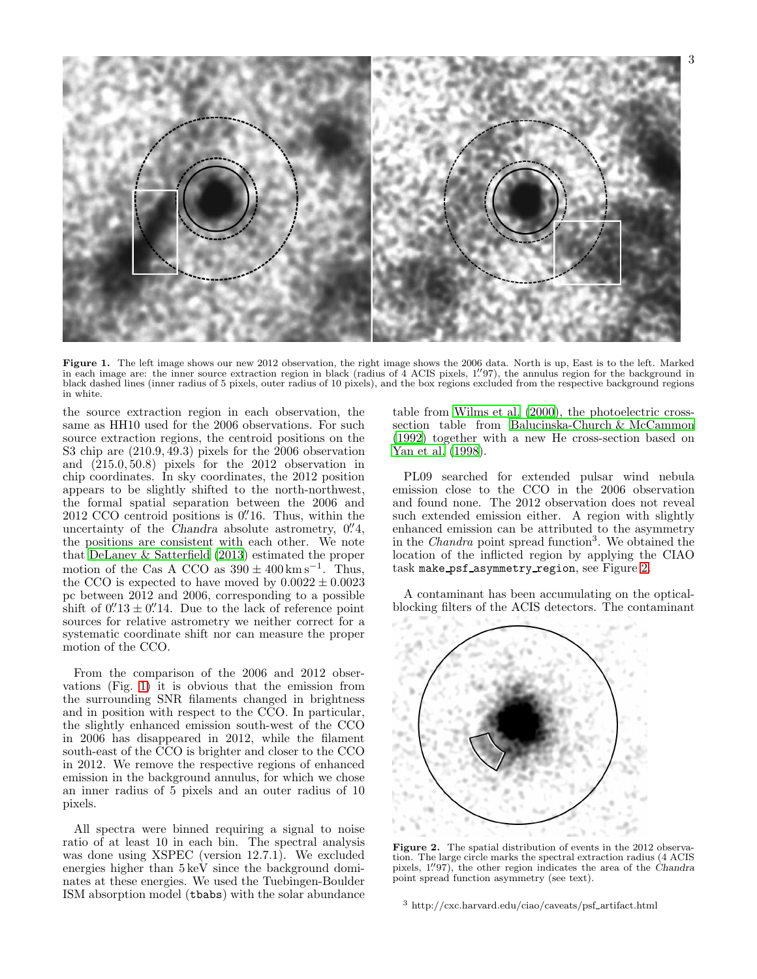

<span id="page-2-0"></span>Figure 1. The left image shows our new 2012 observation, the right image shows the 2006 data. North is up, East is to the left. Marked in each image are: the inner source extraction region in black (radius of 4 ACIS pixels, 1. ′′97), the annulus region for the background in black dashed lines (inner radius of 5 pixels, outer radius of 10 pixels), and the box regions excluded from the respective background regions in white.

the source extraction region in each observation, the same as HH10 used for the 2006 observations. For such source extraction regions, the centroid positions on the S3 chip are (210.9, 49.3) pixels for the 2006 observation and (215.0, 50.8) pixels for the 2012 observation in chip coordinates. In sky coordinates, the 2012 position appears to be slightly shifted to the north-northwest, the formal spatial separation between the 2006 and 2012 CCO centroid positions is 0. Thus, within the uncertainty of the Chandra absolute astrometry,  $0.^{\prime\prime}4,$ the positions are consistent with each other. We note that [DeLaney & Satterfield \(2013](#page-18-5)) estimated the proper motion of the Cas A CCO as  $390 \pm 400 \,\mathrm{km \,s}^{-1}$ . Thus, the CCO is expected to have moved by  $0.0022 \pm 0.0023$ pc between 2012 and 2006, corresponding to a possible shift of  $0.^{\prime\prime}13 \pm 0.^{\prime\prime}14$ . Due to the lack of reference point sources for relative astrometry we neither correct for a systematic coordinate shift nor can measure the proper motion of the CCO.

From the comparison of the 2006 and 2012 observations (Fig. [1\)](#page-2-0) it is obvious that the emission from the surrounding SNR filaments changed in brightness and in position with respect to the CCO. In particular, the slightly enhanced emission south-west of the CCO in 2006 has disappeared in 2012, while the filament south-east of the CCO is brighter and closer to the CCO in 2012. We remove the respective regions of enhanced emission in the background annulus, for which we chose an inner radius of 5 pixels and an outer radius of 10 pixels.

All spectra were binned requiring a signal to noise ratio of at least 10 in each bin. The spectral analysis was done using XSPEC (version 12.7.1). We excluded energies higher than  $5 \,\text{keV}$  since the background dominates at these energies. We used the Tuebingen-Boulder ISM absorption model (tbabs) with the solar abundance

table from [Wilms et al. \(2000\)](#page-19-26), the photoelectric crosssection table from [Balucinska-Church & McCammon](#page-18-6) [\(1992\)](#page-18-6) together with a new He cross-section based on [Yan et al. \(1998](#page-19-27)).

PL09 searched for extended pulsar wind nebula emission close to the CCO in the 2006 observation and found none. The 2012 observation does not reveal such extended emission either. A region with slightly enhanced emission can be attributed to the asymmetry in the *Chandra* point spread function<sup>3</sup>. We obtained the location of the inflicted region by applying the CIAO task make psf asymmetry region, see Figure [2.](#page-2-1)

A contaminant has been accumulating on the opticalblocking filters of the ACIS detectors. The contaminant



<span id="page-2-1"></span>Figure 2. The spatial distribution of events in the 2012 observation. The large circle marks the spectral extraction radius (4 ACIS pixels,  $1''97$ , the other region indicates the area of the Chandra point spread function asymmetry (see text).

<sup>3</sup> http://cxc.harvard.edu/ciao/caveats/psf artifact.html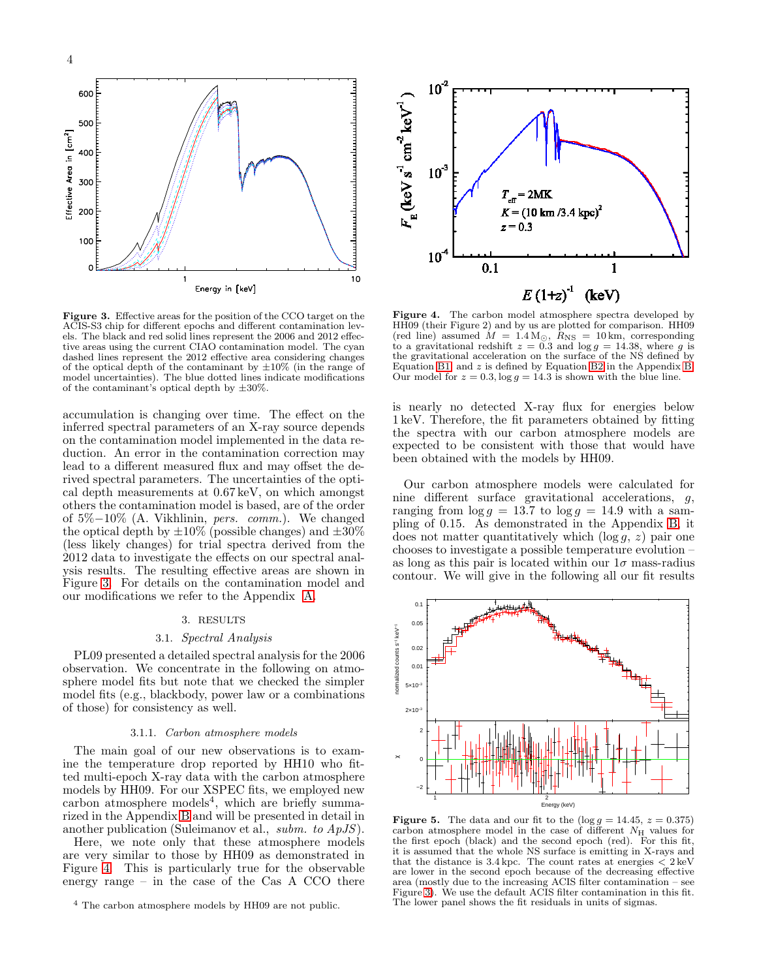



<span id="page-3-0"></span>Figure 3. Effective areas for the position of the CCO target on the ACIS-S3 chip for different epochs and different contamination levels. The black and red solid lines represent the 2006 and 2012 effective areas using the current CIAO contamination model. The cyan dashed lines represent the 2012 effective area considering changes of the optical depth of the contaminant by  $\pm 10\%$  (in the range of model uncertainties). The blue dotted lines indicate modifications of the contaminant's optical depth by  $\pm 30\%$ .

accumulation is changing over time. The effect on the inferred spectral parameters of an X-ray source depends on the contamination model implemented in the data reduction. An error in the contamination correction may lead to a different measured flux and may offset the derived spectral parameters. The uncertainties of the optical depth measurements at 0.67 keV, on which amongst others the contamination model is based, are of the order of 5%−10% (A. Vikhlinin, pers. comm.). We changed the optical depth by  $\pm 10\%$  (possible changes) and  $\pm 30\%$ (less likely changes) for trial spectra derived from the 2012 data to investigate the effects on our spectral analysis results. The resulting effective areas are shown in Figure [3.](#page-3-0) For details on the contamination model and our modifications we refer to the Appendix [A.](#page-15-0)

# 3. RESULTS

# 3.1. Spectral Analysis

PL09 presented a detailed spectral analysis for the 2006 observation. We concentrate in the following on atmosphere model fits but note that we checked the simpler model fits (e.g., blackbody, power law or a combinations of those) for consistency as well.

## 3.1.1. Carbon atmosphere models

<span id="page-3-3"></span>The main goal of our new observations is to examine the temperature drop reported by HH10 who fitted multi-epoch X-ray data with the carbon atmosphere models by HH09. For our XSPEC fits, we employed new carbon atmosphere models<sup>4</sup>, which are briefly summarized in the Appendix [B](#page-15-1) and will be presented in detail in another publication (Suleimanov et al., subm. to ApJS).

Here, we note only that these atmosphere models are very similar to those by HH09 as demonstrated in Figure [4.](#page-3-1) This is particularly true for the observable energy range – in the case of the Cas A CCO there



<span id="page-3-1"></span>Figure 4. The carbon model atmosphere spectra developed by HH09 (their Figure 2) and by us are plotted for comparison. HH09 (red line) assumed  $\dot{M} = 1.4 \,\mathrm{M}_{\odot}$ ,  $R_{\text{NS}} = 10 \,\mathrm{km}$ , corresponding to a gravitational redshift  $z = 0.3$  and  $\log g = 14.38$ , where g is the gravitational acceleration on the surface of the NS defined by Equation [B1,](#page-16-0) and z is defined by Equation [B2](#page-16-1) in the Appendix [B.](#page-15-1) Our model for  $z = 0.3$ ,  $\log g = 14.3$  is shown with the blue line.

is nearly no detected X-ray flux for energies below 1 keV. Therefore, the fit parameters obtained by fitting the spectra with our carbon atmosphere models are expected to be consistent with those that would have been obtained with the models by HH09.

Our carbon atmosphere models were calculated for nine different surface gravitational accelerations, g, ranging from  $\log g = 13.7$  to  $\log g = 14.9$  with a sampling of 0.15. As demonstrated in the Appendix [B,](#page-15-1) it does not matter quantitatively which  $(\log g, z)$  pair one chooses to investigate a possible temperature evolution – as long as this pair is located within our  $1\sigma$  mass-radius contour. We will give in the following all our fit results



<span id="page-3-2"></span>Figure 5. The data and our fit to the  $(\log g = 14.45, z = 0.375)$ carbon atmosphere model in the case of different  $N_{\rm H}$  values for the first epoch (black) and the second epoch (red). For this fit, it is assumed that the whole NS surface is emitting in X-rays and that the distance is  $3.4 \text{ kpc}$ . The count rates at energies  $\frac{1}{2}$  keV are lower in the second epoch because of the decreasing effective area (mostly due to the increasing ACIS filter contamination – see Figure [3\)](#page-3-0). We use the default ACIS filter contamination in this fit. The lower panel shows the fit residuals in units of sigmas.

<sup>4</sup> The carbon atmosphere models by HH09 are not public.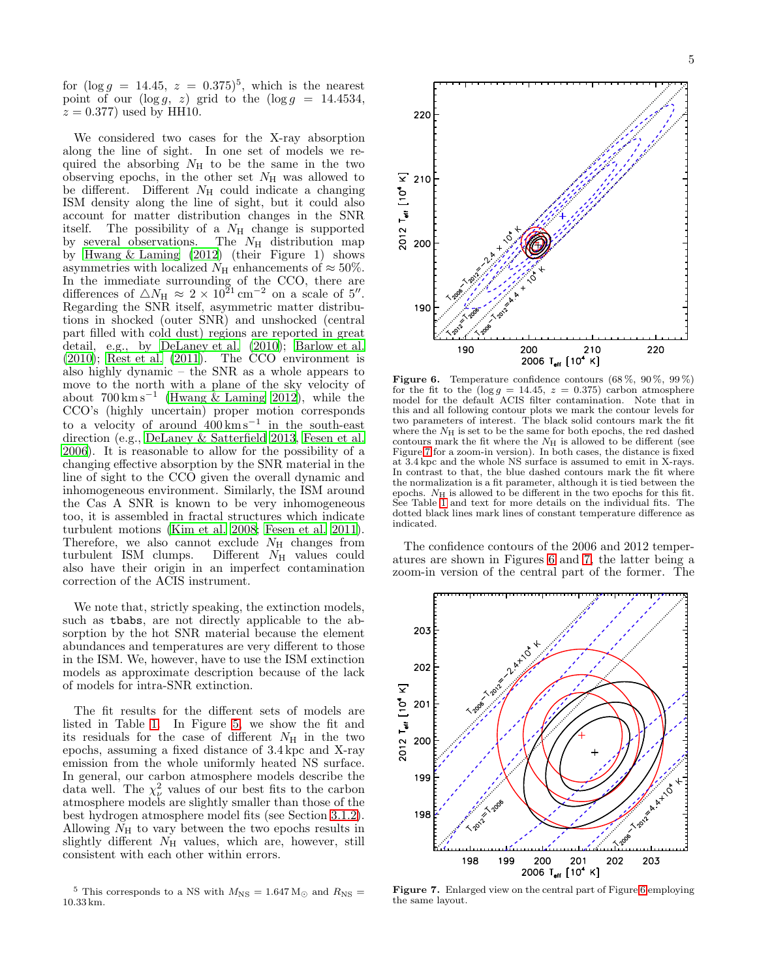for  $(\log g = 14.45, z = 0.375)^5$ , which is the nearest point of our  $(\log g, z)$  grid to the  $(\log g = 14.4534,$  $z = 0.377$  used by HH10.

We considered two cases for the X-ray absorption along the line of sight. In one set of models we required the absorbing  $N_{\rm H}$  to be the same in the two observing epochs, in the other set  $N_{\rm H}$  was allowed to be different. Different  $N_H$  could indicate a changing ISM density along the line of sight, but it could also account for matter distribution changes in the SNR itself. The possibility of a  $N_{\rm H}$  change is supported by several observations. The  $N_{\rm H}$  distribution map by [Hwang & Laming \(2012\)](#page-19-28) (their Figure 1) shows asymmetries with localized  $N_{\rm H}$  enhancements of  $\approx 50\%$ . In the immediate surrounding of the CCO, there are differences of  $\triangle N_{\text{H}} \approx 2 \times 10^{21} \text{ cm}^{-2}$  on a scale of 5''. Regarding the SNR itself, asymmetric matter distributions in shocked (outer SNR) and unshocked (central part filled with cold dust) regions are reported in great detail, e.g., by [DeLaney et al. \(2010](#page-18-2)); [Barlow et al.](#page-18-7)  $(2010)$ ; Rest et al.  $(2011)$ . The CCO environment is also highly dynamic – the SNR as a whole appears to move to the north with a plane of the sky velocity of about  $700 \,\mathrm{km\,s^{-1}}$  [\(Hwang & Laming 2012](#page-19-28)), while the CCO's (highly uncertain) proper motion corresponds to a velocity of around 400 km s<sup>−</sup><sup>1</sup> in the south-east direction (e.g., [DeLaney & Satterfield 2013](#page-18-5), [Fesen et al.](#page-19-12) [2006\)](#page-19-12). It is reasonable to allow for the possibility of a changing effective absorption by the SNR material in the line of sight to the CCO given the overall dynamic and inhomogeneous environment. Similarly, the ISM around the Cas A SNR is known to be very inhomogeneous too, it is assembled in fractal structures which indicate turbulent motions [\(Kim et al. 2008;](#page-19-30) [Fesen et al. 2011\)](#page-18-8). Therefore, we also cannot exclude  $N_{\rm H}$  changes from turbulent ISM clumps. Different  $N_{\rm H}$  values could Different  $N_{\rm H}$  values could also have their origin in an imperfect contamination correction of the ACIS instrument.

We note that, strictly speaking, the extinction models, such as tbabs, are not directly applicable to the absorption by the hot SNR material because the element abundances and temperatures are very different to those in the ISM. We, however, have to use the ISM extinction models as approximate description because of the lack of models for intra-SNR extinction.

The fit results for the different sets of models are listed in Table [1.](#page-5-0) In Figure [5,](#page-3-2) we show the fit and its residuals for the case of different  $N_{\rm H}$  in the two epochs, assuming a fixed distance of 3.4 kpc and X-ray emission from the whole uniformly heated NS surface. In general, our carbon atmosphere models describe the data well. The  $\chi^2_{\nu}$  values of our best fits to the carbon atmosphere models are slightly smaller than those of the best hydrogen atmosphere model fits (see Section [3.1.2\)](#page-7-0). Allowing  $N<sub>H</sub>$  to vary between the two epochs results in slightly different  $N<sub>H</sub>$  values, which are, however, still consistent with each other within errors.



<span id="page-4-1"></span>Figure 6. Temperature confidence contours  $(68\%, 90\%, 99\%)$ for the fit to the  $(\log g = 14.45, z = 0.375)$  carbon atmosphere model for the default ACIS filter contamination. Note that in this and all following contour plots we mark the contour levels for two parameters of interest. The black solid contours mark the fit where the  $N_H$  is set to be the same for both epochs, the red dashed contours mark the fit where the  $N_{\rm H}$  is allowed to be different (see Figure [7](#page-4-0) for a zoom-in version). In both cases, the distance is fixed at 3.4 kpc and the whole NS surface is assumed to emit in X-rays. In contrast to that, the blue dashed contours mark the fit where the normalization is a fit parameter, although it is tied between the epochs.  $N_{\rm H}$  is allowed to be different in the two epochs for this fit. See Table [1](#page-5-0) and text for more details on the individual fits. The dotted black lines mark lines of constant temperature difference as indicated.

The confidence contours of the 2006 and 2012 temperatures are shown in Figures [6](#page-4-1) and [7,](#page-4-0) the latter being a zoom-in version of the central part of the former. The



<span id="page-4-0"></span>Figure 7. Enlarged view on the central part of Figure [6](#page-4-1) employing the same layout.

<sup>&</sup>lt;sup>5</sup> This corresponds to a NS with  $M_{\text{NS}} = 1.647 M_{\odot}$  and  $R_{\text{NS}} =$ 10.33 km.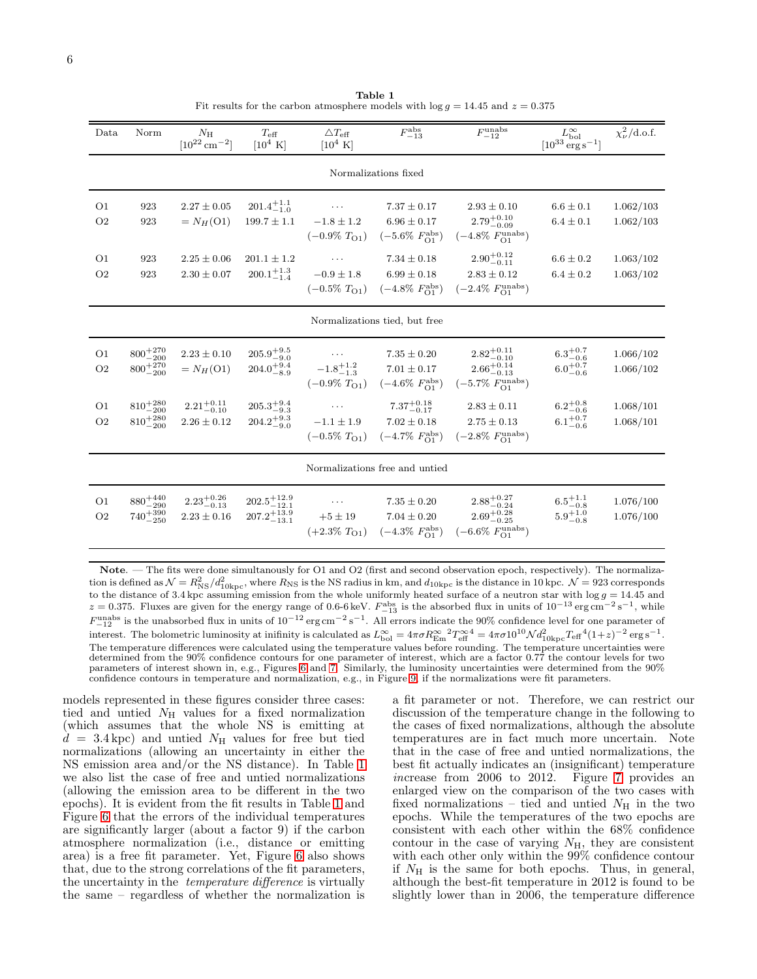<span id="page-5-0"></span>

| Data                             | Norm                                       | $N_{\rm H}$<br>$[10^{22}$ cm <sup>-2</sup> ] | $T_{\text{eff}}$<br>$[10^4 \text{ K}]$             | $\triangle T_{\text{eff}}$<br>$[10^4 \text{ K}]$ | $F_{-13}^{\rm abs}$                                                                 | $F_{-12}^{\mathrm{unabs}}$                                                               | $L_{\rm bol}^{\infty}$<br>$[10^{33} \mathrm{ erg \, s}^{-1}]$ | $\chi^2_{\nu}/\text{d.o.f.}$ |  |
|----------------------------------|--------------------------------------------|----------------------------------------------|----------------------------------------------------|--------------------------------------------------|-------------------------------------------------------------------------------------|------------------------------------------------------------------------------------------|---------------------------------------------------------------|------------------------------|--|
| Normalizations fixed             |                                            |                                              |                                                    |                                                  |                                                                                     |                                                                                          |                                                               |                              |  |
| O <sub>1</sub><br>O <sub>2</sub> | 923<br>923                                 | $2.27 \pm 0.05$<br>$=N_H(O1)$                | $201.4^{+1.1}_{-1.0}$<br>$199.7 \pm 1.1$           | $\cdots$<br>$-1.8 \pm 1.2$<br>$(-0.9\%~TO1)$     | $7.37 \pm 0.17$<br>$6.96 \pm 0.17$<br>$(-5.6\% \; F_{\rm O1}^{\rm abs})$            | $2.93 \pm 0.10$<br>$2.79^{+0.10}_{-0.09}$<br>$(-4.8\% \; F_{\rm O1}^{\rm unabs})$        | $6.6 \pm 0.1$<br>$6.4 \pm 0.1$                                | 1.062/103<br>1.062/103       |  |
| O <sub>1</sub><br>O <sub>2</sub> | 923<br>923                                 | $2.25 \pm 0.06$<br>$2.30 \pm 0.07$           | $201.1 \pm 1.2$<br>$200.1^{+1.3}_{-1.4}$           | $-0.9 \pm 1.8$<br>$(-0.5\%~TO1)$                 | $7.34 \pm 0.18$<br>$6.99 \pm 0.18$<br>$(-4.8\% \; F_{\Omega_1}^{\text{abs}})$       | $2.90^{+0.12}_{-0.11}$<br>$2.83 \pm 0.12$<br>$(-2.4\% \; F_{\rm O1}^{\rm unabs})$        | $6.6 \pm 0.2$<br>$6.4 \pm 0.2$                                | 1.063/102<br>1.063/102       |  |
| Normalizations tied, but free    |                                            |                                              |                                                    |                                                  |                                                                                     |                                                                                          |                                                               |                              |  |
| O <sub>1</sub><br>O <sub>2</sub> | $800^{+270}_{-200}$<br>$800^{+270}_{-200}$ | $2.23 \pm 0.10$<br>$=N_H(O1)$                | $205.9^{+9.5}_{-9.0}$<br>$204.0^{+9.4}_{-8.9}$     | $-1.8^{+1.2}_{-1.3}$<br>$(-0.9\%~T_{O1})$        | $7.35 \pm 0.20$<br>$7.01 \pm 0.17$<br>$(-4.6\% \; F_{\Omega_1}^{\text{abs}})$       | $2.82^{+0.11}_{-0.10}$<br>$2.66^{+0.14}_{-0.13}$<br>$(-5.7\% \ F_{O1}^{\text{unabs}})$   | $6.3^{+0.7}_{-0.6}$<br>$6.0^{+0.7}_{-0.6}$                    | 1.066/102<br>1.066/102       |  |
| O <sub>1</sub><br>O <sub>2</sub> | $810^{+280}_{-200}$<br>$810^{+280}_{-200}$ | $2.21^{+0.11}_{-0.10}$<br>$2.26 \pm 0.12$    | $205.3^{+9.4}_{-9.3}$<br>$204.2^{+9.3}_{-9.0}$     | $-1.1 \pm 1.9$<br>$(-0.5\%~T_{O1})$              | $7.37^{+0.18}_{-0.17}$<br>$7.02 \pm 0.18$<br>$(-4.7\% \; F_{\rm O1}^{\rm abs})$     | $2.83 \pm 0.11$<br>$2.75 \pm 0.13$<br>$(-2.8\% \; F_{\rm O1}^{\rm unabs})$               | $6.2^{+0.8}_{-0.6}$<br>$6.1^{+0.7}_{-0.6}$                    | 1.068/101<br>1.068/101       |  |
| Normalizations free and untied   |                                            |                                              |                                                    |                                                  |                                                                                     |                                                                                          |                                                               |                              |  |
| O <sub>1</sub><br>O <sub>2</sub> | $880^{+440}_{-290}$<br>$740^{+390}_{-250}$ | $2.23_{-0.13}^{+0.26}$<br>$2.23 \pm 0.16$    | $202.5^{+12.9}_{-12.1}$<br>$207.2^{+13.9}_{-13.1}$ | $\cdots$<br>$+5 \pm 19$                          | $7.35 \pm 0.20$<br>$7.04 \pm 0.20$<br>$(+2.3\% \ T_{O1})$ $(-4.3\% \ F_{O1}^{abs})$ | $2.88^{+0.27}_{-0.24}$<br>$2.69^{+0.28}_{-0.25}$<br>$(-6.6\% \; F_{\rm O1}^{\rm unabs})$ | $6.5^{+1.1}_{-0.8}$<br>$5.9^{+1.0}_{-0.8}$                    | 1.076/100<br>1.076/100       |  |

Table 1 Fit results for the carbon atmosphere models with  $\log g = 14.45$  and  $z = 0.375$ 

Note. — The fits were done simultanously for O1 and O2 (first and second observation epoch, respectively). The normalization is defined as  $\mathcal{N} = R_{\rm NS}^2/d_{10\rm kpc}^2$ , where  $R_{\rm NS}$  is the NS radius in km, and  $d_{10\rm kpc}$  is the distance in 10 kpc.  $\mathcal{N} = 923$  corresponds to the distance of 3.4 kpc assuming emission from the whole uniformly heated surface of a neutron star with  $\log g = 14.45$  and  $z = 0.375$ . Fluxes are given for the energy range of 0.6-6 keV.  $F_{-13}^{\text{abs}}$  is the absorbed flux in units of  $10^{-13} \text{ erg cm}^{-2} \text{ s}^{-1}$ , while  $F_{-12}^{\text{unabs}}$  is the unabsorbed flux in units of  $10^{-12} \text{ erg cm}^{-2} \text{ s}^{-1}$ . All errors indicate the 90% confidence level for one parameter of interest. The bolometric luminosity at inifinity is calculated as  $L_{\text{bol}}^{\infty} = 4\pi\sigma R_{\text{Em}}^{\infty} {}^{2}T_{\text{eff}}^{\infty4} = 4\pi\sigma 10^{10} \mathcal{N} d_{10\text{kpc}}^{2} T_{\text{eff}}^{\{4}} (1+z)^{-2} \text{ erg s}^{-1}$ . The temperature differences were calculated using the temperature values before rounding. The temperature uncertainties were determined from the 90% confidence contours for one parameter of interest, which are a factor 0.77 the contour levels for two parameters of interest shown in, e.g., Figures [6](#page-4-1) and [7.](#page-4-0) Similarly, the luminosity uncertainties were determined from the 90% confidence contours in temperature and normalization, e.g., in Figure [9,](#page-6-0) if the normalizations were fit parameters.

models represented in these figures consider three cases: tied and untied  $N_{\rm H}$  values for a fixed normalization (which assumes that the whole NS is emitting at  $d = 3.4 \text{kpc}$  and untied  $N_H$  values for free but tied normalizations (allowing an uncertainty in either the NS emission area and/or the NS distance). In Table [1](#page-5-0) we also list the case of free and untied normalizations (allowing the emission area to be different in the two epochs). It is evident from the fit results in Table [1](#page-5-0) and Figure [6](#page-4-1) that the errors of the individual temperatures are significantly larger (about a factor 9) if the carbon atmosphere normalization (i.e., distance or emitting area) is a free fit parameter. Yet, Figure [6](#page-4-1) also shows that, due to the strong correlations of the fit parameters, the uncertainty in the *temperature difference* is virtually the same – regardless of whether the normalization is a fit parameter or not. Therefore, we can restrict our discussion of the temperature change in the following to the cases of fixed normalizations, although the absolute temperatures are in fact much more uncertain. Note that in the case of free and untied normalizations, the best fit actually indicates an (insignificant) temperature increase from 2006 to 2012. Figure [7](#page-4-0) provides an enlarged view on the comparison of the two cases with fixed normalizations – tied and untied  $N_{\rm H}$  in the two epochs. While the temperatures of the two epochs are consistent with each other within the 68% confidence contour in the case of varying  $N_{\rm H}$ , they are consistent with each other only within the 99% confidence contour if  $N_{\rm H}$  is the same for both epochs. Thus, in general, although the best-fit temperature in 2012 is found to be slightly lower than in 2006, the temperature difference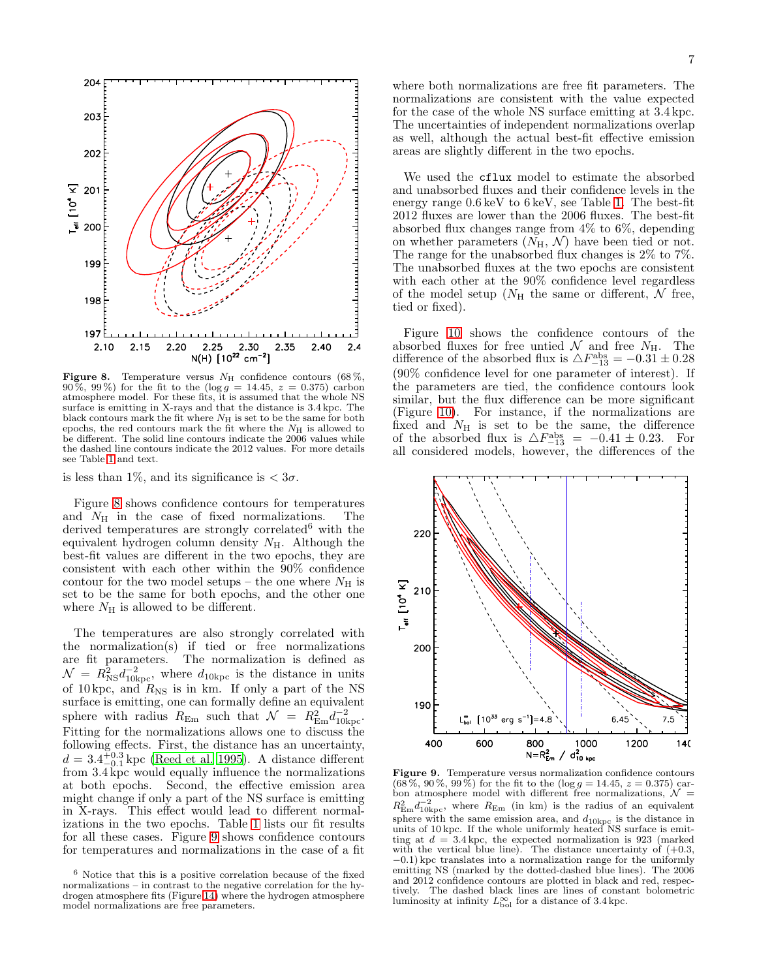

<span id="page-6-1"></span>Figure 8. Temperature versus  $N_{\rm H}$  confidence contours (68%,  $90\%, 99\%$  for the fit to the  $(\log g = 14.45, z = 0.375)$  carbon atmosphere model. For these fits, it is assumed that the whole NS surface is emitting in X-rays and that the distance is 3.4 kpc. The black contours mark the fit where  $N_H$  is set to be the same for both epochs, the red contours mark the fit where the  $N_{\rm H}$  is allowed to be different. The solid line contours indicate the 2006 values while the dashed line contours indicate the 2012 values. For more details see Table [1](#page-5-0) and text.

is less than 1%, and its significance is  $< 3\sigma$ .

Figure [8](#page-6-1) shows confidence contours for temperatures and  $N_{\rm H}$  in the case of fixed normalizations. The derived temperatures are strongly correlated $6$  with the equivalent hydrogen column density  $N_{\rm H}$ . Although the best-fit values are different in the two epochs, they are consistent with each other within the 90% confidence contour for the two model setups – the one where  $N_{\rm H}$  is set to be the same for both epochs, and the other one where  $N_{\rm H}$  is allowed to be different.

The temperatures are also strongly correlated with the normalization(s) if tied or free normalizations are fit parameters. The normalization is defined as  $\mathcal{N} = R_{\text{NS}}^2 d_{10\text{kpc}}^{-2}$ , where  $d_{10\text{kpc}}$  is the distance in units of 10 kpc, and  $R_{\text{NS}}$  is in km. If only a part of the NS surface is emitting, one can formally define an equivalent sphere with radius  $R_{\text{Em}}$  such that  $\mathcal{N} = R_{\text{Em}}^2 d_{10\text{kpc}}^{-2}$ . Fitting for the normalizations allows one to discuss the following effects. First, the distance has an uncertainty,  $d = 3.4_{-0.1}^{+0.3}$  kpc [\(Reed et al. 1995](#page-19-10)). A distance different from 3.4 kpc would equally influence the normalizations at both epochs. Second, the effective emission area might change if only a part of the NS surface is emitting in X-rays. This effect would lead to different normalizations in the two epochs. Table [1](#page-5-0) lists our fit results for all these cases. Figure [9](#page-6-0) shows confidence contours for temperatures and normalizations in the case of a fit

where both normalizations are free fit parameters. The normalizations are consistent with the value expected for the case of the whole NS surface emitting at 3.4 kpc. The uncertainties of independent normalizations overlap as well, although the actual best-fit effective emission areas are slightly different in the two epochs.

We used the cflux model to estimate the absorbed and unabsorbed fluxes and their confidence levels in the energy range 0.6 keV to 6 keV, see Table [1.](#page-5-0) The best-fit 2012 fluxes are lower than the 2006 fluxes. The best-fit absorbed flux changes range from 4% to 6%, depending on whether parameters  $(N_H, \mathcal{N})$  have been tied or not. The range for the unabsorbed flux changes is 2% to 7%. The unabsorbed fluxes at the two epochs are consistent with each other at the 90% confidence level regardless of the model setup ( $N_{\rm H}$  the same or different,  $\mathcal N$  free, tied or fixed).

Figure [10](#page-7-1) shows the confidence contours of the absorbed fluxes for free untied  $\mathcal N$  and free  $N_{\rm H}$ . The difference of the absorbed flux is  $\triangle F_{-13}^{\text{abs}} = -0.31 \pm 0.28$ (90% confidence level for one parameter of interest). If the parameters are tied, the confidence contours look similar, but the flux difference can be more significant (Figure [10\)](#page-7-1). For instance, if the normalizations are fixed and  $N_{\rm H}$  is set to be the same, the difference of the absorbed flux is  $\triangle F_{-13}^{\text{abs}} = -0.41 \pm 0.23$ . For all considered models, however, the differences of the



<span id="page-6-0"></span>Figure 9. Temperature versus normalization confidence contours  $(68\%, 90\%, 99\%)$  for the fit to the  $(\log g = 14.45, z = 0.375)$  carbon atmosphere model with different free normalizations,  $\mathcal{N} =$  $R_{\text{Em}}^2 d_{10\text{kpc}}^{-2}$ , where  $R_{\text{Em}}$  (in km) is the radius of an equivalent sphere with the same emission area, and  $d_{10\mathrm{kpc}}$  is the distance in units of 10 kpc. If the whole uniformly heated NS surface is emitting at  $d = 3.4$  kpc, the expected normalization is 923 (marked with the vertical blue line). The distance uncertainty of  $(+0.3,$ −0.1) kpc translates into a normalization range for the uniformly emitting NS (marked by the dotted-dashed blue lines). The 2006 and 2012 confidence contours are plotted in black and red, respectively. The dashed black lines are lines of constant bolometric luminosity at infinity  $L_{\text{bol}}^{\infty}$  for a distance of 3.4 kpc.

<sup>6</sup> Notice that this is a positive correlation because of the fixed normalizations – in contrast to the negative correlation for the hydrogen atmosphere fits (Figure [14\)](#page-10-0) where the hydrogen atmosphere model normalizations are free parameters.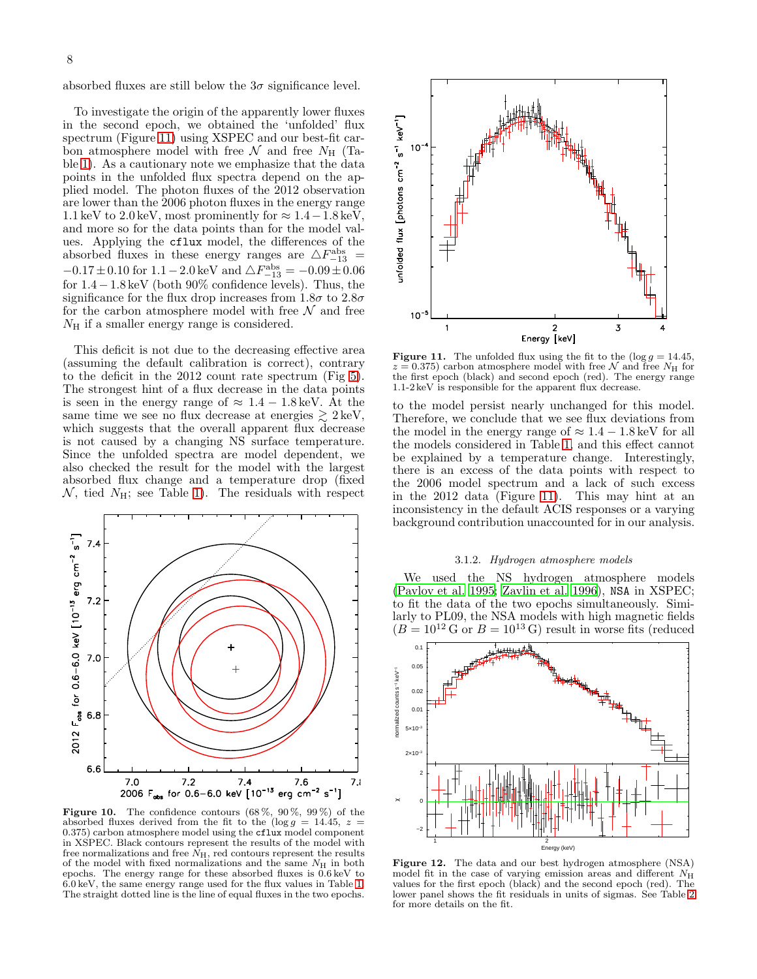absorbed fluxes are still below the  $3\sigma$  significance level.

To investigate the origin of the apparently lower fluxes in the second epoch, we obtained the 'unfolded' flux spectrum (Figure [11\)](#page-7-2) using XSPEC and our best-fit carbon atmosphere model with free  $\mathcal N$  and free  $N_{\rm H}$  (Table [1\)](#page-5-0). As a cautionary note we emphasize that the data points in the unfolded flux spectra depend on the applied model. The photon fluxes of the 2012 observation are lower than the 2006 photon fluxes in the energy range 1.1 keV to 2.0 keV, most prominently for  $\approx 1.4-1.8$  keV, and more so for the data points than for the model values. Applying the cflux model, the differences of the absorbed fluxes in these energy ranges are  $\triangle F^{\rm abs}_{-13}$  =  $-0.17 \pm 0.10$  for  $1.1 - 2.0$  keV and  $\triangle F^{\rm abs}_{-13} = -0.09 \pm 0.06$ for 1.4−1.8 keV (both 90% confidence levels). Thus, the significance for the flux drop increases from  $1.8\sigma$  to  $2.8\sigma$ for the carbon atmosphere model with free  $\mathcal N$  and free  $N_{\rm H}$  if a smaller energy range is considered.

This deficit is not due to the decreasing effective area (assuming the default calibration is correct), contrary to the deficit in the 2012 count rate spectrum (Fig [5\)](#page-3-2). The strongest hint of a flux decrease in the data points is seen in the energy range of  $\approx 1.4 - 1.8 \,\text{keV}$ . At the same time we see no flux decrease at energies  $\geq 2 \text{ keV}$ , which suggests that the overall apparent flux decrease is not caused by a changing NS surface temperature. Since the unfolded spectra are model dependent, we also checked the result for the model with the largest absorbed flux change and a temperature drop (fixed  $\mathcal{N}$ , tied  $N_{\rm H}$ ; see Table [1\)](#page-5-0). The residuals with respect



<span id="page-7-1"></span>Figure 10. The confidence contours  $(68\%, 90\%, 99\%)$  of the absorbed fluxes derived from the fit to the (log  $g = 14.45$ ,  $z =$  $(0.375)$  carbon atmosphere model using the cflux model component in XSPEC. Black contours represent the results of the model with free normalizations and free  $N_{\rm H}$ , red contours represent the results of the model with fixed normalizations and the same  $N_{\rm H}$  in both epochs. The energy range for these absorbed fluxes is 0.6 keV to 6.0 keV, the same energy range used for the flux values in Table [1.](#page-5-0) The straight dotted line is the line of equal fluxes in the two epochs.



<span id="page-7-2"></span>**Figure 11.** The unfolded flux using the fit to the  $(\log g = 14.45,$  $z = 0.375$ ) carbon atmosphere model with free N and free N<sub>H</sub> for the first epoch (black) and second epoch (red). The energy range 1.1-2 keV is responsible for the apparent flux decrease.

to the model persist nearly unchanged for this model. Therefore, we conclude that we see flux deviations from the model in the energy range of  $\approx 1.4 - 1.8 \,\text{keV}$  for all the models considered in Table [1,](#page-5-0) and this effect cannot be explained by a temperature change. Interestingly, there is an excess of the data points with respect to the 2006 model spectrum and a lack of such excess in the 2012 data (Figure [11\)](#page-7-2). This may hint at an inconsistency in the default ACIS responses or a varying background contribution unaccounted for in our analysis.

#### 3.1.2. Hydrogen atmosphere models

<span id="page-7-0"></span>We used the NS hydrogen atmosphere models [\(Pavlov et al. 1995;](#page-19-31) [Zavlin et al. 1996\)](#page-19-32), NSA in XSPEC; to fit the data of the two epochs simultaneously. Similarly to PL09, the NSA models with high magnetic fields  $(B = 10^{12} \text{ G or } B = 10^{13} \text{ G})$  result in worse fits (reduced



<span id="page-7-3"></span>Figure 12. The data and our best hydrogen atmosphere (NSA) model fit in the case of varying emission areas and different  $N_{\rm H}$ values for the first epoch (black) and the second epoch (red). The lower panel shows the fit residuals in units of sigmas. See Table [2](#page-8-0) for more details on the fit.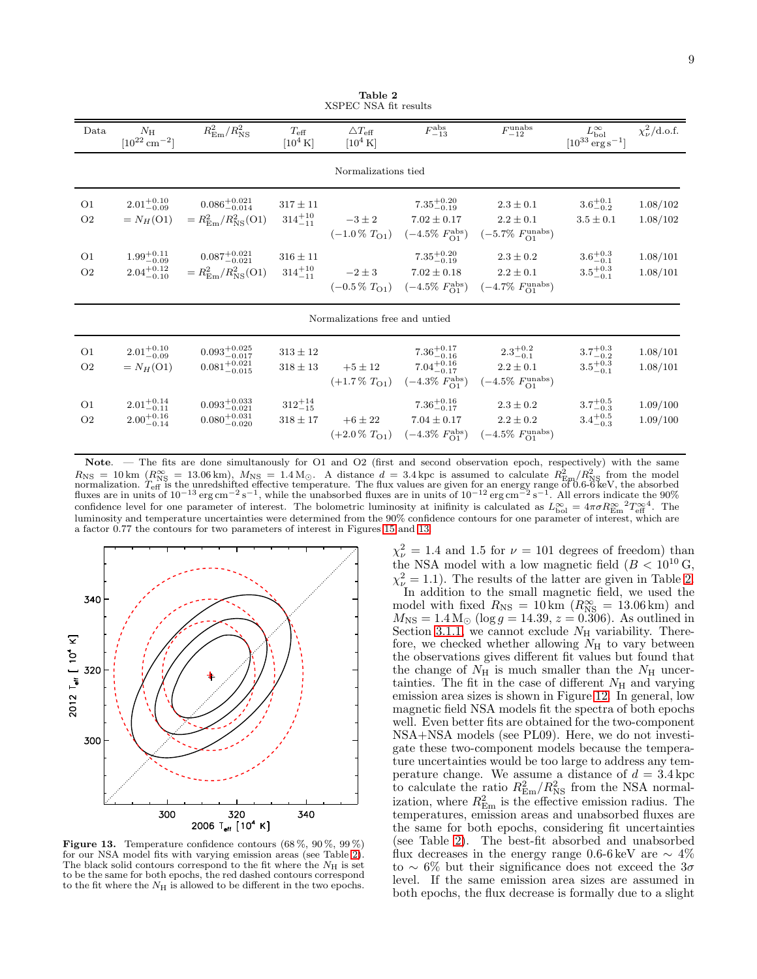<span id="page-8-0"></span>

| Data                             | $N_{\rm H}$<br>$[10^{22}$ cm <sup>-2</sup> ]     | $R_{\rm Em}^2/R_{\rm NS}^2$                                            | $T_{\rm eff}$<br>$[10^4 \text{ K}]$ | $\triangle T_{\text{eff}}$<br>$[10^4 \text{ K}]$ | $F^{\rm abs}_{-13}$                                                                        | $F_{-12}^{\rm unabs}$                                                           | $L_{\rm bol}^{\infty}$<br>$[10^{33}\,{\rm erg\,s^{-1}}]$ | $\chi^2_{\nu}/\mathrm{d.o.f.}$ |  |
|----------------------------------|--------------------------------------------------|------------------------------------------------------------------------|-------------------------------------|--------------------------------------------------|--------------------------------------------------------------------------------------------|---------------------------------------------------------------------------------|----------------------------------------------------------|--------------------------------|--|
| Normalizations tied              |                                                  |                                                                        |                                     |                                                  |                                                                                            |                                                                                 |                                                          |                                |  |
| O <sub>1</sub><br>O <sub>2</sub> | $2.01^{+0.10}_{-0.09}$<br>$=N_H(O1)$             | $0.086^{+0.021}_{-0.014}$<br>$=R_{\rm Em}^2/R_{\rm NS}^2(01)$          | $317\pm11$<br>$314^{+10}_{-11}$     | $-3 \pm 2$                                       | $7.35^{+0.20}_{-0.19}$<br>$7.02 \pm 0.17$<br>$(-1.0\% T_{O1})$ $(-4.5\% F_{O1}^{abs})$     | $2.3 \pm 0.1$<br>$2.2 \pm 0.1$<br>$(-5.7\% \ F_{O1}^{\text{unabs}})$            | $3.6^{+0.1}_{-0.2}$<br>$3.5 \pm 0.1$                     | 1.08/102<br>1.08/102           |  |
| O <sub>1</sub><br>O <sub>2</sub> | $1.99^{+0.11}_{-0.09}$<br>$2.04^{+0.12}_{-0.10}$ | $0.087^{+0.021}_{-0.021}$<br>$= R_{\text{Em}}^2 / R_{\text{NS}}^2(01)$ | $316 \pm 11$<br>$314^{+10}_{-11}$   | $-2\pm 3$                                        | $7.35^{+0.20}_{-0.19}$<br>$7.02 \pm 0.18$<br>$(-0.5\% \ T_{O1})$ $(-4.5\% \ F_{O1}^{abs})$ | $2.3 \pm 0.2$<br>$2.2 \pm 0.1$<br>$(-4.7\% \ F_{O1}^{\text{unabs}})$            | $3.6^{+0.3}_{-0.1}$<br>$3.5^{+0.3}_{-0.1}$               | 1.08/101<br>1.08/101           |  |
| Normalizations free and untied   |                                                  |                                                                        |                                     |                                                  |                                                                                            |                                                                                 |                                                          |                                |  |
| O <sub>1</sub><br>O <sub>2</sub> | $2.01^{+0.10}_{-0.09}$<br>$=N_H(O1)$             | $0.093^{+0.025}_{-0.017}$<br>$0.081^{+0.021}_{-0.015}$                 | $313 \pm 12$<br>$318\pm13$          | $+5 \pm 12$<br>$(+1.7\%~T_{O1})$                 | $7.36_{-0.16}^{+0.17}$<br>$7.04^{+0.16}_{-0.17}$<br>$(-4.3\% \, F_{\rm O1}^{\rm abs})$     | $2.3^{+0.2}_{-0.1}$<br>$2.2\pm0.1$<br>$(-4.5\% \; F_{\Omega_1}^{\text{unabs}})$ | $3.7^{+0.3}_{-0.2}$<br>$3.5^{+0.3}_{-0.1}$               | 1.08/101<br>1.08/101           |  |
| O <sub>1</sub><br>O <sub>2</sub> | $2.01^{+0.14}_{-0.11}$<br>$2.00^{+0.16}_{-0.14}$ | $0.093^{+0.033}_{-0.021}$<br>$0.080^{+0.031}_{-0.020}$                 | $312^{+14}_{-15}$<br>$318 \pm 17$   | $+6 \pm 22$                                      | $7.36^{+0.16}_{-0.17}$<br>$7.04 \pm 0.17$<br>$(+2.0\% \t TO1)$ $(-4.3\% \t FO1abs)$        | $2.3 \pm 0.2$<br>$2.2\pm0.2$<br>$(-4.5\% \ F_{O1}^{\text{unabs}})$              | $3.7^{+0.5}_{-0.3}$<br>$3.4^{+0.5}_{-0.3}$               | 1.09/100<br>1.09/100           |  |

Table 2 XSPEC NSA fit results

Note. — The fits are done simultanously for O1 and O2 (first and second observation epoch, respectively) with the same  $R_{\rm NS} = 10 \text{ km}$  ( $R_{\rm NS}^{\infty} = 13.06 \text{ km}$ ),  $M_{\rm NS} = 1.4 \text{ M}_{\odot}$ . A distance  $d = 3.4 \text{ kpc}$  is assumed to calculate  $R_{\rm Em}^2/R_{\rm NS}^2$  from the model normalization.  $T_{\rm eff}$  is the unredshifted effective temperature. confidence level for one parameter of interest. The bolometric luminosity at inifinity is calculated as  $L_{\text{bol}}^{\infty} = 4\pi\sigma R_{\text{Em}}^{\infty} T_{\text{eff}}^{\infty}$ . The luminosity and temperature uncertainties were determined from the 90% confidence contours for one parameter of interest, which are a factor 0.77 the contours for two parameters of interest in Figures [15](#page-10-1) and [13.](#page-8-1)



<span id="page-8-1"></span>Figure 13. Temperature confidence contours  $(68\%, 90\%, 99\%)$ for our NSA model fits with varying emission areas (see Table [2\)](#page-8-0) The black solid contours correspond to the fit where the  $N_{\rm H}$  is set to be the same for both epochs, the red dashed contours correspond to the fit where the  $N_{\rm H}$  is allowed to be different in the two epochs.

 $\chi^2_{\nu} = 1.4$  and 1.5 for  $\nu = 101$  degrees of freedom) than the NSA model with a low magnetic field  $(B < 10^{10} \text{ G},$  $\chi^2_{\nu} = 1.1$ ). The results of the latter are given in Table [2.](#page-8-0) In addition to the small magnetic field, we used the model with fixed  $R_{\text{NS}} = 10 \text{ km}$  ( $R_{\text{NS}}^{\infty} = 13.06 \text{ km}$ ) and  $M_{\text{NS}} = 1.4 \, \text{M}_{\odot} \text{ (log } g = 14.39, \, z = 0.306\text{).}$  As outlined in Section [3.1.1,](#page-3-3) we cannot exclude  $N_{\rm H}$  variability. Therefore, we checked whether allowing  $N_{\rm H}$  to vary between the observations gives different fit values but found that the change of  $N_{\rm H}$  is much smaller than the  $N_{\rm H}$  uncertainties. The fit in the case of different  $N_{\rm H}$  and varying emission area sizes is shown in Figure [12.](#page-7-3) In general, low magnetic field NSA models fit the spectra of both epochs well. Even better fits are obtained for the two-component NSA+NSA models (see PL09). Here, we do not investigate these two-component models because the temperature uncertainties would be too large to address any temperature change. We assume a distance of  $d = 3.4$  kpc to calculate the ratio  $R_{\text{Em}}^2/R_{\text{NS}}^2$  from the NSA normalization, where  $R_{\text{Em}}^2$  is the effective emission radius. The temperatures, emission areas and unabsorbed fluxes are the same for both epochs, considering fit uncertainties (see Table [2\)](#page-8-0). The best-fit absorbed and unabsorbed flux decreases in the energy range 0.6-6 keV are  $\sim 4\%$ to ~ 6% but their significance does not exceed the  $3\sigma$ level. If the same emission area sizes are assumed in both epochs, the flux decrease is formally due to a slight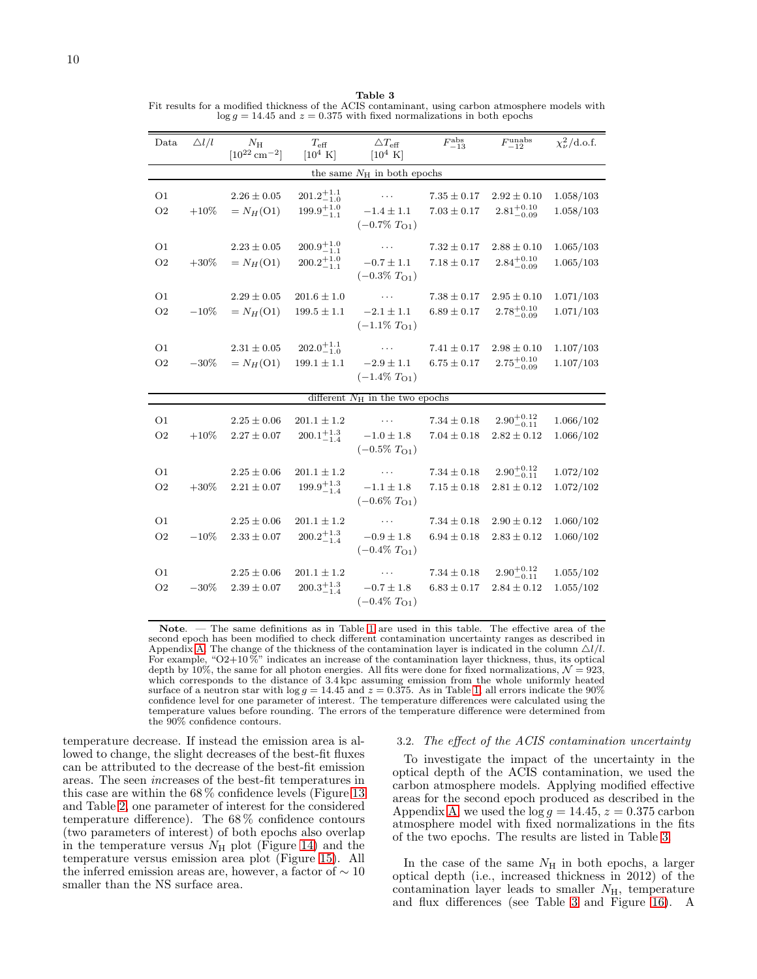<span id="page-9-0"></span>Table 3 Fit results for a modified thickness of the ACIS contaminant, using carbon atmosphere models with  $\log g = 14.45$  and  $z = 0.375$  with fixed normalizations in both epochs

| Data                                | $\triangle l/l$ | $N_{\rm H}$<br>$[10^{22}$ cm <sup>-2</sup> ] | $T_{\rm eff}$<br>$[10^4 \text{ K}]$            | $\triangle T_{\text{eff}}$<br>$[10^4 \text{ K}]$               | $F_{-13}^{\rm abs}$                | $F_{-12}^{\mathrm{unabs}}$                | $\chi^2_\nu/\text{d.o.f.}$ |  |  |
|-------------------------------------|-----------------|----------------------------------------------|------------------------------------------------|----------------------------------------------------------------|------------------------------------|-------------------------------------------|----------------------------|--|--|
| the same $N_{\rm H}$ in both epochs |                 |                                              |                                                |                                                                |                                    |                                           |                            |  |  |
| O <sub>1</sub><br>O <sub>2</sub>    | $+10\%$         | $2.26 \pm 0.05$<br>$=N_H(O1)$                | $201.2^{+1.1}_{-1.0}$<br>$199.9^{+1.0}_{-1.1}$ | $\cdots$<br>$-1.4 \pm 1.1$<br>$(-0.7\%~T_{O1})$                | $7.35 \pm 0.17$<br>$7.03 \pm 0.17$ | $2.92 \pm 0.10$<br>$2.81^{+0.10}_{-0.09}$ | 1.058/103<br>1.058/103     |  |  |
| O <sub>1</sub><br>O <sub>2</sub>    | $+30\%$         | $2.23 \pm 0.05$<br>$=N_H(O1)$                | $200.9^{+1.0}_{-1.1}$<br>$200.2^{+1.0}_{-1.1}$ | $\cdots$<br>$-0.7 \pm 1.1$<br>$(-0.3\%~T_{O1})$                | $7.32 \pm 0.17$<br>$7.18 \pm 0.17$ | $2.88 \pm 0.10$<br>$2.84^{+0.10}_{-0.09}$ | 1.065/103<br>1.065/103     |  |  |
| O1<br>O <sub>2</sub>                | $-10%$          | $2.29 \pm 0.05$<br>$=N_H(O1)$                | $201.6 \pm 1.0$<br>$199.5 \pm 1.1$             | $\ldots$<br>$-2.1 \pm 1.1$<br>$(-1.1\% T_{O1})$                | $7.38 \pm 0.17$<br>$6.89 \pm 0.17$ | $2.95 \pm 0.10$<br>$2.78^{+0.10}_{-0.09}$ | 1.071/103<br>1.071/103     |  |  |
| O <sub>1</sub><br>O <sub>2</sub>    | $-30\%$         | $2.31 \pm 0.05$<br>$=N_H(O1)$                | $202.0^{+1.1}_{-1.0}$<br>$199.1 \pm 1.1$       | $\sim 100$ km s $^{-1}$<br>$-2.9 \pm 1.1$<br>$(-1.4\%~T_{O1})$ | $7.41 \pm 0.17$<br>$6.75 \pm 0.17$ | $2.98 \pm 0.10$<br>$2.75^{+0.10}_{-0.09}$ | 1.107/103<br>1.107/103     |  |  |
|                                     |                 |                                              |                                                | different $N_{\rm H}$ in the two epochs                        |                                    |                                           |                            |  |  |
| O <sub>1</sub><br>O <sub>2</sub>    | $+10%$          | $2.25\pm0.06$<br>$2.27 \pm 0.07$             | $201.1 \pm 1.2$<br>$200.1^{+1.3}_{-1.4}$       | $\cdots$<br>$-1.0 \pm 1.8$<br>$(-0.5\%~T_{O1})$                | $7.34 \pm 0.18$<br>$7.04 \pm 0.18$ | $2.90^{+0.12}_{-0.11}$<br>$2.82 \pm 0.12$ | 1.066/102<br>1.066/102     |  |  |
| O <sub>1</sub><br>O <sub>2</sub>    | $+30\%$         | $2.25 \pm 0.06$<br>$2.21 \pm 0.07$           | $201.1 \pm 1.2$<br>$199.9^{+1.3}_{-1.4}$       | $\cdots$<br>$-1.1 \pm 1.8$<br>$(-0.6\%~TO1)$                   | $7.34 \pm 0.18$<br>$7.15 \pm 0.18$ | $2.90^{+0.12}_{-0.11}$<br>$2.81 \pm 0.12$ | 1.072/102<br>1.072/102     |  |  |
| O1<br>O <sub>2</sub>                | $-10%$          | $2.25 \pm 0.06$<br>$2.33 \pm 0.07$           | $201.1 \pm 1.2$<br>$200.2^{+1.3}_{-1.4}$       | $\cdots$<br>$-0.9\pm1.8$<br>$(-0.4\%~T_{O1})$                  | $7.34 \pm 0.18$<br>$6.94 \pm 0.18$ | $2.90 \pm 0.12$<br>$2.83 \pm 0.12$        | 1.060/102<br>1.060/102     |  |  |
| O1<br>O <sub>2</sub>                | $-30\%$         | $2.25 \pm 0.06$<br>$2.39 \pm 0.07$           | $201.1 \pm 1.2$<br>$200.3^{+1.3}_{-1.4}$       | $\cdots$<br>$-0.7 \pm 1.8$<br>$(-0.4\%~T_{O1})$                | $7.34\pm0.18$<br>$6.83 \pm 0.17$   | $2.90^{+0.12}_{-0.11}$<br>$2.84 \pm 0.12$ | 1.055/102<br>1.055/102     |  |  |

Note. — The same definitions as in Table [1](#page-5-0) are used in this table. The effective area of the second epoch has been modified to check different contamination uncertainty ranges as described in Appendix [A.](#page-15-0) The change of the thickness of the contamination layer is indicated in the column  $\Delta l/l$ . For example, "O2+10%" indicates an increase of the contamination layer thickness, thus, its optical depth by 10%, the same for all photon energies. All fits were done for fixed normalizations,  $\mathcal{N} = 923$ , which corresponds to the distance of 3.4 kpc assuming emission from the whole uniformly heated surface of a neutron star with  $\log g = 14.45$  and  $z = 0.375$ . As in Table [1,](#page-5-0) all errors indicate the 90% confidence level for one parameter of interest. The temperature differences were calculated using the temperature values before rounding. The errors of the temperature difference were determined from the 90% confidence contours.

temperature decrease. If instead the emission area is allowed to change, the slight decreases of the best-fit fluxes can be attributed to the decrease of the best-fit emission areas. The seen increases of the best-fit temperatures in this case are within the 68 % confidence levels (Figure [13](#page-8-1) and Table [2,](#page-8-0) one parameter of interest for the considered temperature difference). The 68 % confidence contours (two parameters of interest) of both epochs also overlap in the temperature versus  $N_{\rm H}$  plot (Figure [14\)](#page-10-0) and the temperature versus emission area plot (Figure [15\)](#page-10-1). All the inferred emission areas are, however, a factor of  $\sim 10$ smaller than the NS surface area.

## 3.2. The effect of the ACIS contamination uncertainty

To investigate the impact of the uncertainty in the optical depth of the ACIS contamination, we used the carbon atmosphere models. Applying modified effective areas for the second epoch produced as described in the Appendix [A,](#page-15-0) we used the  $log g = 14.45$ ,  $z = 0.375$  carbon atmosphere model with fixed normalizations in the fits of the two epochs. The results are listed in Table [3.](#page-9-0)

In the case of the same  $N<sub>H</sub>$  in both epochs, a larger optical depth (i.e., increased thickness in 2012) of the contamination layer leads to smaller  $N_{\rm H}$ , temperature and flux differences (see Table [3](#page-9-0) and Figure [16\)](#page-10-2). A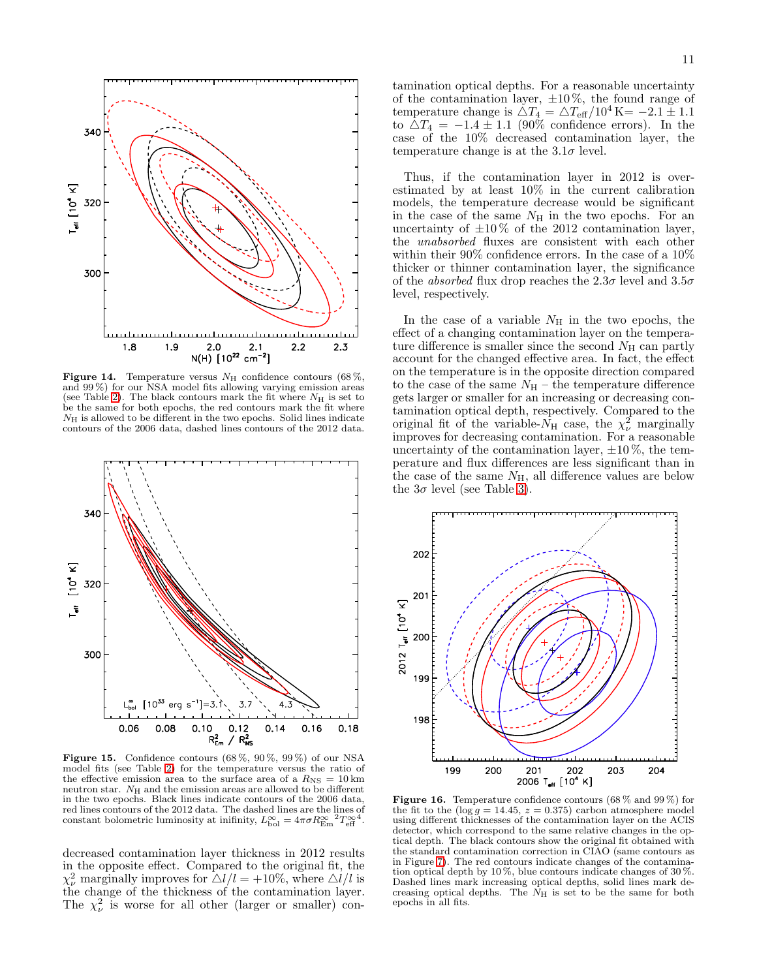

<span id="page-10-0"></span>Figure 14. Temperature versus  $N_{\rm H}$  confidence contours (68%, and 99 %) for our NSA model fits allowing varying emission areas (see Table [2\)](#page-8-0). The black contours mark the fit where  $N_{\rm H}$  is set to be the same for both epochs, the red contours mark the fit where  $N<sub>H</sub>$  is allowed to be different in the two epochs. Solid lines indicate contours of the 2006 data, dashed lines contours of the 2012 data.



<span id="page-10-1"></span>**Figure 15.** Confidence contours  $(68\%, 90\%, 99\%)$  of our NSA model fits (see Table [2\)](#page-8-0) for the temperature versus the ratio of the effective emission area to the surface area of a  $R_{\text{NS}} = 10 \text{ km}$ neutron star.  $N_{\rm H}$  and the emission areas are allowed to be different in the two epochs. Black lines indicate contours of the 2006 data, red lines contours of the 2012 data. The dashed lines are the lines of constant bolometric luminosity at inifinity,  $L_{\text{bol}}^{\infty} = 4\pi\sigma R_{\text{Em}}^{\infty} T_{\text{eff}}^{\infty}$ .

decreased contamination layer thickness in 2012 results in the opposite effect. Compared to the original fit, the  $\chi^2_{\nu}$  marginally improves for  $\Delta l/l = +10\%$ , where  $\Delta l/l$  is the change of the thickness of the contamination layer. The  $\chi^2_{\nu}$  is worse for all other (larger or smaller) contamination optical depths. For a reasonable uncertainty of the contamination layer,  $\pm 10\%$ , the found range of temperature change is  $\Delta T_4 = \Delta T_{\text{eff}}/10^4 \text{ K} = -2.1 \pm 1.1$ to  $\Delta T_4 = -1.4 \pm 1.1$  (90% confidence errors). In the case of the 10% decreased contamination layer, the temperature change is at the  $3.1\sigma$  level.

Thus, if the contamination layer in 2012 is overestimated by at least 10% in the current calibration models, the temperature decrease would be significant in the case of the same  $N_{\rm H}$  in the two epochs. For an uncertainty of  $\pm 10\%$  of the 2012 contamination layer, the unabsorbed fluxes are consistent with each other within their 90% confidence errors. In the case of a 10% thicker or thinner contamination layer, the significance of the *absorbed* flux drop reaches the  $2.3\sigma$  level and  $3.5\sigma$ level, respectively.

In the case of a variable  $N<sub>H</sub>$  in the two epochs, the effect of a changing contamination layer on the temperature difference is smaller since the second  $N_{\rm H}$  can partly account for the changed effective area. In fact, the effect on the temperature is in the opposite direction compared to the case of the same  $N_H$  – the temperature difference gets larger or smaller for an increasing or decreasing contamination optical depth, respectively. Compared to the original fit of the variable- $N_{\rm H}$  case, the  $\chi^2_{\nu}$  marginally improves for decreasing contamination. For a reasonable uncertainty of the contamination layer,  $\pm 10\%$ , the temperature and flux differences are less significant than in the case of the same  $N_{\rm H}$ , all difference values are below the  $3\sigma$  level (see Table [3\)](#page-9-0).



<span id="page-10-2"></span>**Figure 16.** Temperature confidence contours  $(68\% \text{ and } 99\%)$  for the fit to the ( $log g = 14.45$ ,  $z = 0.375$ ) carbon atmosphere model using different thicknesses of the contamination layer on the ACIS detector, which correspond to the same relative changes in the optical depth. The black contours show the original fit obtained with the standard contamination correction in CIAO (same contours as in Figure [7\)](#page-4-0). The red contours indicate changes of the contamination optical depth by 10 %, blue contours indicate changes of 30 %. Dashed lines mark increasing optical depths, solid lines mark decreasing optical depths. The  $N_{\rm H}$  is set to be the same for both epochs in all fits.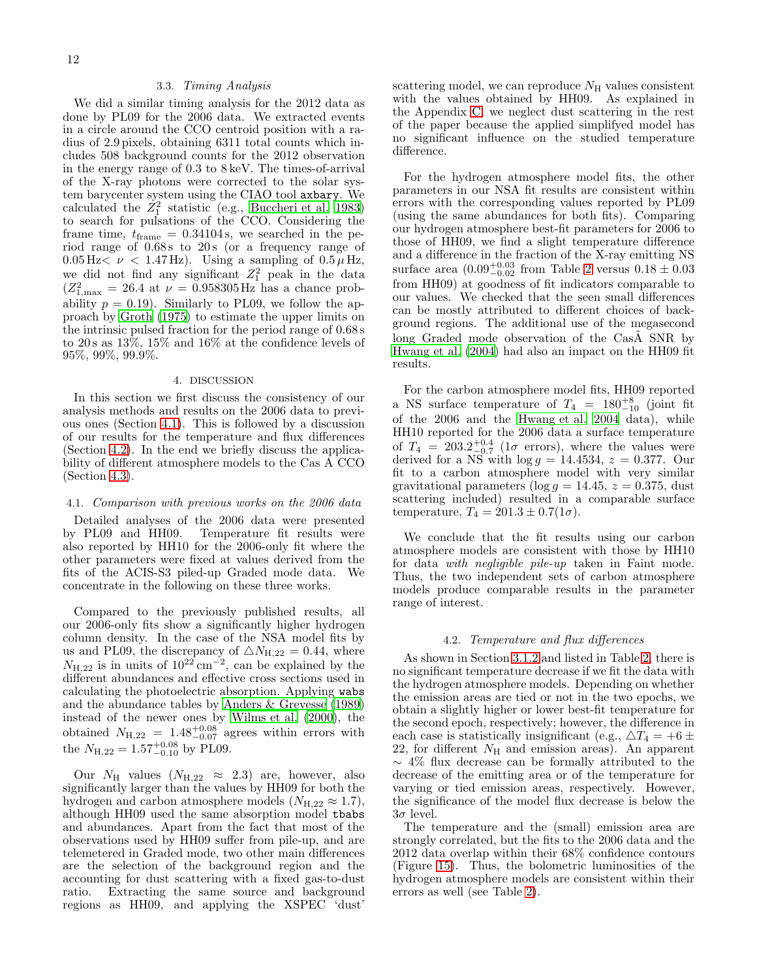### 3.3. Timing Analysis

We did a similar timing analysis for the 2012 data as done by PL09 for the 2006 data. We extracted events in a circle around the CCO centroid position with a radius of 2.9 pixels, obtaining 6311 total counts which includes 508 background counts for the 2012 observation in the energy range of 0.3 to 8 keV. The times-of-arrival of the X-ray photons were corrected to the solar system barycenter system using the CIAO tool axbary. We calculated the  $Z_1^2$  statistic (e.g., [Buccheri et al. 1983](#page-18-9)) to search for pulsations of the CCO. Considering the frame time,  $t_{frame} = 0.34104$  s, we searched in the period range of  $0.68$  s to  $20$  s (or a frequency range of  $0.05 \,\mathrm{Hz} < \nu < 1.47 \,\mathrm{Hz}$ . Using a sampling of  $0.5 \mu \,\mathrm{Hz}$ , we did not find any significant  $Z_1^2$  peak in the data  $(Z_{1,\text{max}}^2 = 26.4 \text{ at } \nu = 0.958305 \text{ Hz}$  has a chance probability  $p = 0.19$ . Similarly to PL09, we follow the approach by [Groth \(1975\)](#page-19-33) to estimate the upper limits on the intrinsic pulsed fraction for the period range of 0.68 s to  $20 s$  as  $13\%$ ,  $15\%$  and  $16\%$  at the confidence levels of 95%, 99%, 99.9%.

## 4. DISCUSSION

In this section we first discuss the consistency of our analysis methods and results on the 2006 data to previous ones (Section [4.1\)](#page-11-0). This is followed by a discussion of our results for the temperature and flux differences (Section [4.2\)](#page-11-1). In the end we briefly discuss the applicability of different atmosphere models to the Cas A CCO (Section [4.3\)](#page-13-0).

# <span id="page-11-0"></span>4.1. Comparison with previous works on the 2006 data

Detailed analyses of the 2006 data were presented by PL09 and HH09. Temperature fit results were also reported by HH10 for the 2006-only fit where the other parameters were fixed at values derived from the fits of the ACIS-S3 piled-up Graded mode data. We concentrate in the following on these three works.

Compared to the previously published results, all our 2006-only fits show a significantly higher hydrogen column density. In the case of the NSA model fits by us and PL09, the discrepancy of  $\triangle N_{\mathrm{H},22} = 0.44$ , where  $N_{\text{H},22}$  is in units of  $10^{22} \text{ cm}^{-2}$ , can be explained by the different abundances and effective cross sections used in calculating the photoelectric absorption. Applying wabs and the abundance tables by [Anders & Grevesse \(1989](#page-18-10)) instead of the newer ones by [Wilms et al. \(2000\)](#page-19-26), the obtained  $N_{\text{H},22}$  = 1.48<sup>+0.08</sup> agrees within errors with the  $N_{\text{H},22} = 1.57_{-0.10}^{+0.08}$  by PL09.

Our  $N_{\rm H}$  values  $(N_{\rm H,22} \approx 2.3)$  are, however, also significantly larger than the values by HH09 for both the hydrogen and carbon atmosphere models  $(N_{\rm H,22} \approx 1.7)$ , although HH09 used the same absorption model tbabs and abundances. Apart from the fact that most of the observations used by HH09 suffer from pile-up, and are telemetered in Graded mode, two other main differences are the selection of the background region and the accounting for dust scattering with a fixed gas-to-dust ratio. Extracting the same source and background regions as HH09, and applying the XSPEC 'dust'

scattering model, we can reproduce  $N<sub>H</sub>$  values consistent with the values obtained by HH09. As explained in the Appendix [C,](#page-17-0) we neglect dust scattering in the rest of the paper because the applied simplifyed model has no significant influence on the studied temperature difference.

For the hydrogen atmosphere model fits, the other parameters in our NSA fit results are consistent within errors with the corresponding values reported by PL09 (using the same abundances for both fits). Comparing our hydrogen atmosphere best-fit parameters for 2006 to those of HH09, we find a slight temperature difference and a difference in the fraction of the X-ray emitting NS surface area  $(0.09^{+0.03}_{-0.02}$  from Table [2](#page-8-0) versus  $0.18 \pm 0.03$ from HH09) at goodness of fit indicators comparable to our values. We checked that the seen small differences can be mostly attributed to different choices of background regions. The additional use of the megasecond long Graded mode observation of the CasA SNR by [Hwang et al. \(2004](#page-19-34)) had also an impact on the HH09 fit results.

For the carbon atmosphere model fits, HH09 reported a NS surface temperature of  $T_4 = 180^{+8}_{-10}$  (joint fit of the 2006 and the [Hwang et al. 2004](#page-19-34) data), while HH10 reported for the 2006 data a surface temperature of  $T_4 = 203.2^{+0.4}_{-0.7}$  (1 $\sigma$  errors), where the values were derived for a NS with  $\log g = 14.4534$ ,  $z = 0.377$ . Our fit to a carbon atmosphere model with very similar gravitational parameters (log  $q = 14.45$ ,  $z = 0.375$ , dust scattering included) resulted in a comparable surface temperature,  $T_4 = 201.3 \pm 0.7(1\sigma)$ .

We conclude that the fit results using our carbon atmosphere models are consistent with those by HH10 for data with negligible pile-up taken in Faint mode. Thus, the two independent sets of carbon atmosphere models produce comparable results in the parameter range of interest.

## 4.2. Temperature and flux differences

<span id="page-11-1"></span>As shown in Section [3.1.2](#page-7-0) and listed in Table [2,](#page-8-0) there is no significant temperature decrease if we fit the data with the hydrogen atmosphere models. Depending on whether the emission areas are tied or not in the two epochs, we obtain a slightly higher or lower best-fit temperature for the second epoch, respectively; however, the difference in each case is statistically insignificant (e.g.,  $\Delta T_4 = +6 \pm$ 22, for different  $N_{\rm H}$  and emission areas). An apparent ∼ 4% flux decrease can be formally attributed to the decrease of the emitting area or of the temperature for varying or tied emission areas, respectively. However, the significance of the model flux decrease is below the  $3\sigma$  level.

The temperature and the (small) emission area are strongly correlated, but the fits to the 2006 data and the 2012 data overlap within their 68% confidence contours (Figure [15\)](#page-10-1). Thus, the bolometric luminosities of the hydrogen atmosphere models are consistent within their errors as well (see Table [2\)](#page-8-0).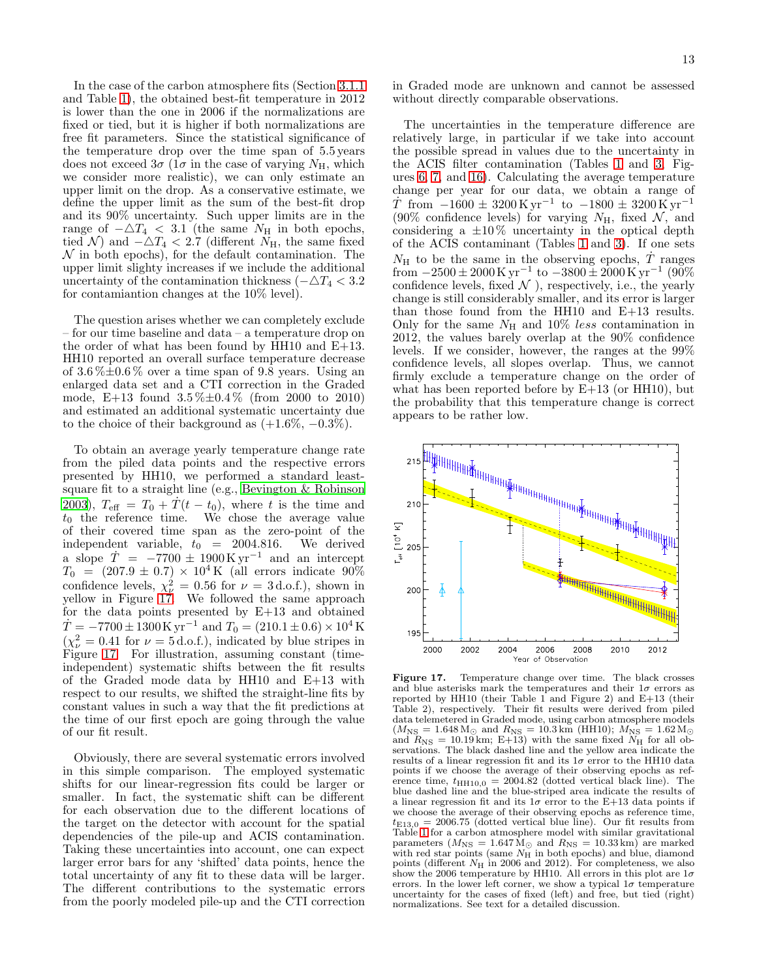In the case of the carbon atmosphere fits (Section [3.1.1](#page-3-3) and Table [1\)](#page-5-0), the obtained best-fit temperature in 2012 is lower than the one in 2006 if the normalizations are fixed or tied, but it is higher if both normalizations are free fit parameters. Since the statistical significance of the temperature drop over the time span of 5.5 years does not exceed  $3\sigma$  ( $1\sigma$  in the case of varying  $N_{\rm H}$ , which we consider more realistic), we can only estimate an upper limit on the drop. As a conservative estimate, we define the upper limit as the sum of the best-fit drop and its 90% uncertainty. Such upper limits are in the range of  $-\Delta T_4$  < 3.1 (the same  $N_{\rm H}$  in both epochs, tied N) and  $-\Delta T_4 < 2.7$  (different  $N_{\rm H}$ , the same fixed  $\mathcal N$  in both epochs), for the default contamination. The upper limit slighty increases if we include the additional uncertainty of the contamination thickness ( $-\Delta T_4 < 3.2$ ) for contamiantion changes at the 10% level).

The question arises whether we can completely exclude – for our time baseline and data – a temperature drop on the order of what has been found by HH10 and E+13. HH10 reported an overall surface temperature decrease of  $3.6\% \pm 0.6\%$  over a time span of 9.8 years. Using an enlarged data set and a CTI correction in the Graded mode, E+13 found  $3.5\% \pm 0.4\%$  (from 2000 to 2010) and estimated an additional systematic uncertainty due to the choice of their background as  $(+1.6\%, -0.3\%).$ 

To obtain an average yearly temperature change rate from the piled data points and the respective errors presented by HH10, we performed a standard leastsquare fit to a straight line (e.g., [Bevington & Robinson](#page-18-11) [2003\)](#page-18-11),  $T_{\text{eff}} = T_0 + \dot{T}(t - t_0)$ , where t is the time and  $t_0$  the reference time. We chose the average value of their covered time span as the zero-point of the independent variable,  $t_0 = 2004.816$ . We derived a slope  $\dot{T}$  = −7700 ± 1900 K yr<sup>-1</sup> and an intercept  $T_0$  = (207.9 ± 0.7) × 10<sup>4</sup> K (all errors indicate 90% confidence levels,  $\chi^2_{\nu} = 0.56$  for  $\nu = 3 \text{ d.o.f.}$ ), shown in yellow in Figure [17.](#page-12-0) We followed the same approach for the data points presented by E+13 and obtained  $\dot{T} = -7700 \pm 1300 \,\mathrm{K} \,\mathrm{yr}^{-1}$  and  $T_0 = (210.1 \pm 0.6) \times 10^4 \,\mathrm{K}$  $(\chi^2_{\nu} = 0.41$  for  $\nu = 5$  d.o.f.), indicated by blue stripes in Figure [17.](#page-12-0) For illustration, assuming constant (timeindependent) systematic shifts between the fit results of the Graded mode data by HH10 and E+13 with respect to our results, we shifted the straight-line fits by constant values in such a way that the fit predictions at the time of our first epoch are going through the value of our fit result.

Obviously, there are several systematic errors involved in this simple comparison. The employed systematic shifts for our linear-regression fits could be larger or smaller. In fact, the systematic shift can be different for each observation due to the different locations of the target on the detector with account for the spatial dependencies of the pile-up and ACIS contamination. Taking these uncertainties into account, one can expect larger error bars for any 'shifted' data points, hence the total uncertainty of any fit to these data will be larger. The different contributions to the systematic errors from the poorly modeled pile-up and the CTI correction

in Graded mode are unknown and cannot be assessed without directly comparable observations.

The uncertainties in the temperature difference are relatively large, in particular if we take into account the possible spread in values due to the uncertainty in the ACIS filter contamination (Tables [1](#page-5-0) and [3,](#page-9-0) Figures [6,](#page-4-1) [7,](#page-4-0) and [16\)](#page-10-2). Calculating the average temperature change per year for our data, we obtain a range of  $\dot{T}$  from  $-1600 \pm 3200 \,\mathrm{Kyr^{-1}}$  to  $-1800 \pm 3200 \,\mathrm{Kyr^{-1}}$ (90% confidence levels) for varying  $N_{\rm H}$ , fixed  $\mathcal{N}$ , and considering a  $\pm 10\%$  uncertainty in the optical depth of the ACIS contaminant (Tables [1](#page-5-0) and [3\)](#page-9-0). If one sets  $N_{\rm H}$  to be the same in the observing epochs, T ranges from  $-2500 \pm 2000 \,\mathrm{K} \,\mathrm{yr}^{-1}$  to  $-3800 \pm 2000 \,\mathrm{K} \,\mathrm{yr}^{-1}$  (90% confidence levels, fixed  $\mathcal N$  ), respectively, i.e., the yearly change is still considerably smaller, and its error is larger than those found from the HH10 and E+13 results. Only for the same  $N_{\rm H}$  and 10% less contamination in 2012, the values barely overlap at the 90% confidence levels. If we consider, however, the ranges at the 99% confidence levels, all slopes overlap. Thus, we cannot firmly exclude a temperature change on the order of what has been reported before by  $E+13$  (or HH10), but the probability that this temperature change is correct appears to be rather low.



<span id="page-12-0"></span>Figure 17. Temperature change over time. The black crosses and blue asterisks mark the temperatures and their  $1\sigma$  errors as reported by HH10 (their Table 1 and Figure 2) and E+13 (their Table 2), respectively. Their fit results were derived from piled data telemetered in Graded mode, using carbon atmosphere models  $(M_{\rm NS} = 1.648 \,\rm M_{\odot}$  and  $R_{\rm NS} = 10.3 \,\rm km$  (HH10);  $M_{\rm NS} = 1.62 \,\rm M_{\odot}$ and  $R_{\text{NS}} = 10.19 \text{ km}$ ; E+13) with the same fixed  $N_{\text{H}}$  for all observations. The black dashed line and the yellow area indicate the results of a linear regression fit and its  $1\sigma$  error to the HH10 data points if we choose the average of their observing epochs as reference time,  $t_{\text{HH10,0}} = 2004.82$  (dotted vertical black line). The blue dashed line and the blue-striped area indicate the results of a linear regression fit and its  $1\sigma$  error to the E+13 data points if we choose the average of their observing epochs as reference time,  $t_{E13,0} = 2006.75$  (dotted vertical blue line). Our fit results from Table [1](#page-5-0) for a carbon atmosphere model with similar gravitational parameters ( $M_{\text{NS}} = 1.647 \,\text{M}_{\odot}$  and  $R_{\text{NS}} = 10.33 \,\text{km}$ ) are marked with red star points (same  $N<sub>H</sub>$  in both epochs) and blue, diamond points (different  $N_{\rm H}$  in 2006 and 2012). For completeness, we also show the 2006 temperature by HH10. All errors in this plot are  $1\sigma$ errors. In the lower left corner, we show a typical  $1\sigma$  temperature uncertainty for the cases of fixed (left) and free, but tied (right) normalizations. See text for a detailed discussion.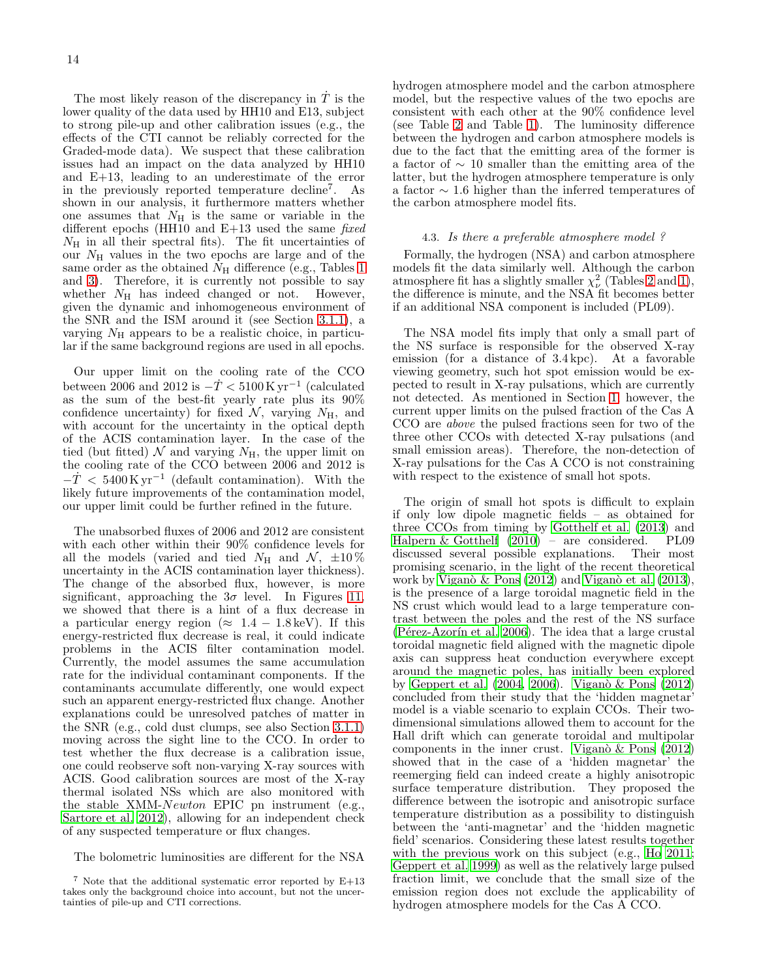The most likely reason of the discrepancy in  $\dot{T}$  is the lower quality of the data used by HH10 and E13, subject to strong pile-up and other calibration issues (e.g., the effects of the CTI cannot be reliably corrected for the Graded-mode data). We suspect that these calibration issues had an impact on the data analyzed by HH10 and E+13, leading to an underestimate of the error in the previously reported temperature decline<sup>7</sup> . As shown in our analysis, it furthermore matters whether one assumes that  $N_{\rm H}$  is the same or variable in the different epochs (HH10 and  $E+13$  used the same fixed  $N_{\rm H}$  in all their spectral fits). The fit uncertainties of our  $N_{\rm H}$  values in the two epochs are large and of the same order as the obtained  $N_H$  difference (e.g., Tables [1](#page-5-0) and [3\)](#page-9-0). Therefore, it is currently not possible to say whether  $N<sub>H</sub>$  has indeed changed or not. However, given the dynamic and inhomogeneous environment of the SNR and the ISM around it (see Section [3.1.1\)](#page-3-3), a varying  $N_{\rm H}$  appears to be a realistic choice, in particular if the same background regions are used in all epochs.

Our upper limit on the cooling rate of the CCO between 2006 and 2012 is  $-\dot{T}$  < 5100 K yr<sup>-1</sup> (calculated as the sum of the best-fit yearly rate plus its 90% confidence uncertainty) for fixed  $\mathcal{N}$ , varying  $N_{\rm H}$ , and with account for the uncertainty in the optical depth of the ACIS contamination layer. In the case of the tied (but fitted) N and varying  $N_{\rm H}$ , the upper limit on the cooling rate of the CCO between 2006 and 2012 is  $-\dot{T}$  < 5400 K yr<sup>-1</sup> (default contamination). With the likely future improvements of the contamination model, our upper limit could be further refined in the future.

The unabsorbed fluxes of 2006 and 2012 are consistent with each other within their 90% confidence levels for all the models (varied and tied  $N_H$  and  $\mathcal{N}, \pm 10\%$ uncertainty in the ACIS contamination layer thickness). The change of the absorbed flux, however, is more significant, approaching the  $3\sigma$  level. In Figures [11,](#page-7-2) we showed that there is a hint of a flux decrease in a particular energy region ( $\approx 1.4 - 1.8 \,\text{keV}$ ). If this energy-restricted flux decrease is real, it could indicate problems in the ACIS filter contamination model. Currently, the model assumes the same accumulation rate for the individual contaminant components. If the contaminants accumulate differently, one would expect such an apparent energy-restricted flux change. Another explanations could be unresolved patches of matter in the SNR (e.g., cold dust clumps, see also Section [3.1.1\)](#page-3-3) moving across the sight line to the CCO. In order to test whether the flux decrease is a calibration issue, one could reobserve soft non-varying X-ray sources with ACIS. Good calibration sources are most of the X-ray thermal isolated NSs which are also monitored with the stable XMM-Newton EPIC pn instrument (e.g., [Sartore et al. 2012\)](#page-19-35), allowing for an independent check of any suspected temperature or flux changes.

The bolometric luminosities are different for the NSA

hydrogen atmosphere model and the carbon atmosphere model, but the respective values of the two epochs are consistent with each other at the 90% confidence level (see Table [2](#page-8-0) and Table [1\)](#page-5-0). The luminosity difference between the hydrogen and carbon atmosphere models is due to the fact that the emitting area of the former is a factor of ∼ 10 smaller than the emitting area of the latter, but the hydrogen atmosphere temperature is only a factor ∼ 1.6 higher than the inferred temperatures of the carbon atmosphere model fits.

# <span id="page-13-0"></span>4.3. Is there a preferable atmosphere model ?

Formally, the hydrogen (NSA) and carbon atmosphere models fit the data similarly well. Although the carbon atmosphere fit has a slightly smaller  $\chi^2_{\nu}$  (Tables [2](#page-8-0) and [1\)](#page-5-0), the difference is minute, and the NSA fit becomes better if an additional NSA component is included (PL09).

The NSA model fits imply that only a small part of the NS surface is responsible for the observed X-ray emission (for a distance of 3.4 kpc). At a favorable viewing geometry, such hot spot emission would be expected to result in X-ray pulsations, which are currently not detected. As mentioned in Section [1,](#page-0-0) however, the current upper limits on the pulsed fraction of the Cas A CCO are above the pulsed fractions seen for two of the three other CCOs with detected X-ray pulsations (and small emission areas). Therefore, the non-detection of X-ray pulsations for the Cas A CCO is not constraining with respect to the existence of small hot spots.

The origin of small hot spots is difficult to explain if only low dipole magnetic fields – as obtained for three CCOs from timing by [Gotthelf et al. \(2013\)](#page-19-22) and [Halpern & Gotthelf \(2010\)](#page-19-19) – are considered. PL09 discussed several possible explanations. Their most promising scenario, in the light of the recent theoretical work by Vigan $\delta \&$  Pons (2012) and Vigan $\delta$  et al. (2013), is the presence of a large toroidal magnetic field in the NS crust which would lead to a large temperature contrast between the poles and the rest of the NS surface (Pérez-Azorín et al. 2006). The idea that a large crustal toroidal magnetic field aligned with the magnetic dipole axis can suppress heat conduction everywhere except around the magnetic poles, has initially been explored by Geppert et al.  $(2004, 2006)$  $(2004, 2006)$ . Viganò & Pons  $(2012)$ concluded from their study that the 'hidden magnetar' model is a viable scenario to explain CCOs. Their twodimensional simulations allowed them to account for the Hall drift which can generate toroidal and multipolar components in the inner crust. Viganò  $\&$  Pons (2012) showed that in the case of a 'hidden magnetar' the reemerging field can indeed create a highly anisotropic surface temperature distribution. They proposed the difference between the isotropic and anisotropic surface temperature distribution as a possibility to distinguish between the 'anti-magnetar' and the 'hidden magnetic field' scenarios. Considering these latest results together with the previous work on this subject (e.g., [Ho 2011](#page-19-25); [Geppert et al. 1999\)](#page-19-40) as well as the relatively large pulsed fraction limit, we conclude that the small size of the emission region does not exclude the applicability of hydrogen atmosphere models for the Cas A CCO.

<sup>7</sup> Note that the additional systematic error reported by E+13 takes only the background choice into account, but not the uncertainties of pile-up and CTI corrections.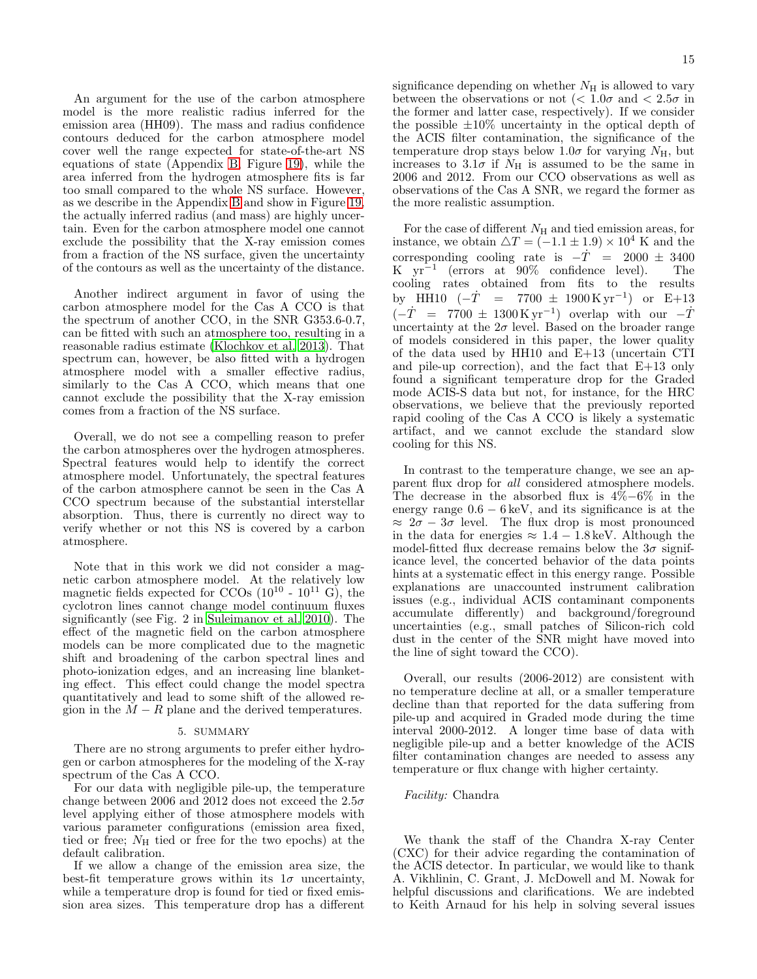An argument for the use of the carbon atmosphere model is the more realistic radius inferred for the emission area (HH09). The mass and radius confidence contours deduced for the carbon atmosphere model cover well the range expected for state-of-the-art NS equations of state (Appendix [B,](#page-15-1) Figure [19\)](#page-17-1), while the area inferred from the hydrogen atmosphere fits is far too small compared to the whole NS surface. However, as we describe in the Appendix [B](#page-15-1) and show in Figure [19,](#page-17-1) the actually inferred radius (and mass) are highly uncertain. Even for the carbon atmosphere model one cannot exclude the possibility that the X-ray emission comes from a fraction of the NS surface, given the uncertainty of the contours as well as the uncertainty of the distance.

Another indirect argument in favor of using the carbon atmosphere model for the Cas A CCO is that the spectrum of another CCO, in the SNR G353.6-0.7, can be fitted with such an atmosphere too, resulting in a reasonable radius estimate [\(Klochkov et al. 2013\)](#page-19-41). That spectrum can, however, be also fitted with a hydrogen atmosphere model with a smaller effective radius, similarly to the Cas A CCO, which means that one cannot exclude the possibility that the X-ray emission comes from a fraction of the NS surface.

Overall, we do not see a compelling reason to prefer the carbon atmospheres over the hydrogen atmospheres. Spectral features would help to identify the correct atmosphere model. Unfortunately, the spectral features of the carbon atmosphere cannot be seen in the Cas A CCO spectrum because of the substantial interstellar absorption. Thus, there is currently no direct way to verify whether or not this NS is covered by a carbon atmosphere.

Note that in this work we did not consider a magnetic carbon atmosphere model. At the relatively low magnetic fields expected for CCOs  $(10^{10} - 10^{11} \text{ G})$ , the cyclotron lines cannot change model continuum fluxes significantly (see Fig. 2 in [Suleimanov et al. 2010\)](#page-19-42). The effect of the magnetic field on the carbon atmosphere models can be more complicated due to the magnetic shift and broadening of the carbon spectral lines and photo-ionization edges, and an increasing line blanketing effect. This effect could change the model spectra quantitatively and lead to some shift of the allowed region in the  $M - R$  plane and the derived temperatures.

#### 5. SUMMARY

There are no strong arguments to prefer either hydrogen or carbon atmospheres for the modeling of the X-ray spectrum of the Cas A CCO.

For our data with negligible pile-up, the temperature change between 2006 and 2012 does not exceed the  $2.5\sigma$ level applying either of those atmosphere models with various parameter configurations (emission area fixed, tied or free;  $N_{\rm H}$  tied or free for the two epochs) at the default calibration.

If we allow a change of the emission area size, the best-fit temperature grows within its  $1\sigma$  uncertainty, while a temperature drop is found for tied or fixed emission area sizes. This temperature drop has a different significance depending on whether  $N_{\rm H}$  is allowed to vary between the observations or not  $\langle$   $1.0\sigma$  and  $\langle$  2.5 $\sigma$  in the former and latter case, respectively). If we consider the possible  $\pm 10\%$  uncertainty in the optical depth of the ACIS filter contamination, the significance of the temperature drop stays below 1.0 $\sigma$  for varying  $N_{\rm H}$ , but increases to 3.1 $\sigma$  if  $N_H$  is assumed to be the same in 2006 and 2012. From our CCO observations as well as observations of the Cas A SNR, we regard the former as the more realistic assumption.

For the case of different  $N<sub>H</sub>$  and tied emission areas, for instance, we obtain  $\Delta T = (-1.1 \pm 1.9) \times 10^4$  K and the corresponding cooling rate is  $-\dot{T} = 2000 \pm 3400$ <br>K vr<sup>-1</sup> (errors at 90% confidence level). The K  $yr^{-1}$  (errors at  $90\%$  confidence level). The cooling rates obtained from fits to the results by HH10  $(-\dot{T} = 7700 \pm 1900 \,\mathrm{Kyr^{-1}})$  or E+13  $(-\dot{T} = 7700 \pm 1300 \,\mathrm{Kyr}^{-1})$  overlap with our  $-\dot{T}$ uncertainty at the  $2\sigma$  level. Based on the broader range of models considered in this paper, the lower quality of the data used by HH10 and E+13 (uncertain CTI and pile-up correction), and the fact that E+13 only found a significant temperature drop for the Graded mode ACIS-S data but not, for instance, for the HRC observations, we believe that the previously reported rapid cooling of the Cas A CCO is likely a systematic artifact, and we cannot exclude the standard slow cooling for this NS.

In contrast to the temperature change, we see an apparent flux drop for all considered atmosphere models. The decrease in the absorbed flux is 4%−6% in the energy range  $0.6 - 6 \,\text{keV}$ , and its significance is at the  $\approx 2\sigma - 3\sigma$  level. The flux drop is most pronounced in the data for energies  $\approx 1.4 - 1.8 \,\text{keV}$ . Although the model-fitted flux decrease remains below the  $3\sigma$  significance level, the concerted behavior of the data points hints at a systematic effect in this energy range. Possible explanations are unaccounted instrument calibration issues (e.g., individual ACIS contaminant components accumulate differently) and background/foreground uncertainties (e.g., small patches of Silicon-rich cold dust in the center of the SNR might have moved into the line of sight toward the CCO).

Overall, our results (2006-2012) are consistent with no temperature decline at all, or a smaller temperature decline than that reported for the data suffering from pile-up and acquired in Graded mode during the time interval 2000-2012. A longer time base of data with negligible pile-up and a better knowledge of the ACIS filter contamination changes are needed to assess any temperature or flux change with higher certainty.

### Facility: Chandra

We thank the staff of the Chandra X-ray Center (CXC) for their advice regarding the contamination of the ACIS detector. In particular, we would like to thank A. Vikhlinin, C. Grant, J. McDowell and M. Nowak for helpful discussions and clarifications. We are indebted to Keith Arnaud for his help in solving several issues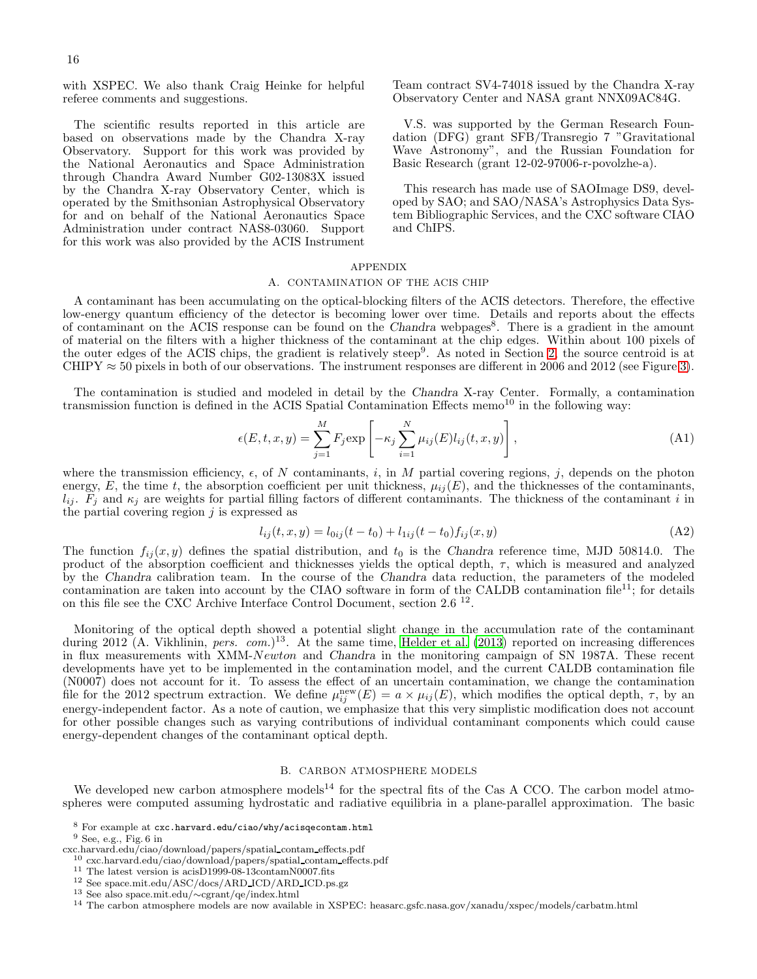with XSPEC. We also thank Craig Heinke for helpful referee comments and suggestions.

The scientific results reported in this article are based on observations made by the Chandra X-ray Observatory. Support for this work was provided by the National Aeronautics and Space Administration through Chandra Award Number G02-13083X issued by the Chandra X-ray Observatory Center, which is operated by the Smithsonian Astrophysical Observatory for and on behalf of the National Aeronautics Space Administration under contract NAS8-03060. Support for this work was also provided by the ACIS Instrument

Team contract SV4-74018 issued by the Chandra X-ray Observatory Center and NASA grant NNX09AC84G.

V.S. was supported by the German Research Foundation (DFG) grant SFB/Transregio 7 "Gravitational Wave Astronomy", and the Russian Foundation for Basic Research (grant 12-02-97006-r-povolzhe-a).

This research has made use of SAOImage DS9, developed by SAO; and SAO/NASA's Astrophysics Data System Bibliographic Services, and the CXC software CIAO and ChIPS.

## APPENDIX

#### A. CONTAMINATION OF THE ACIS CHIP

<span id="page-15-0"></span>A contaminant has been accumulating on the optical-blocking filters of the ACIS detectors. Therefore, the effective low-energy quantum efficiency of the detector is becoming lower over time. Details and reports about the effects of contaminant on the ACIS response can be found on the Chandra webpages<sup>8</sup>. There is a gradient in the amount of material on the filters with a higher thickness of the contaminant at the chip edges. Within about 100 pixels of the outer edges of the ACIS chips, the gradient is relatively steep<sup>9</sup>. As noted in Section [2,](#page-1-0) the source centroid is at CHIPY  $\approx$  50 pixels in both of our observations. The instrument responses are different in 2006 and 2012 (see Figure [3\)](#page-3-0).

The contamination is studied and modeled in detail by the Chandra X-ray Center. Formally, a contamination transmission function is defined in the ACIS Spatial Contamination Effects memo<sup>10</sup> in the following way:

$$
\epsilon(E, t, x, y) = \sum_{j=1}^{M} F_j \exp\left[-\kappa_j \sum_{i=1}^{N} \mu_{ij}(E) l_{ij}(t, x, y)\right],
$$
\n(A1)

where the transmission efficiency,  $\epsilon$ , of N contaminants, i, in M partial covering regions, j, depends on the photon energy, E, the time t, the absorption coefficient per unit thickness,  $\mu_{ij}(E)$ , and the thicknesses of the contaminants,  $l_{ij}$ .  $F_j$  and  $\kappa_j$  are weights for partial filling factors of different contaminants. The thickness of the contaminant i in the partial covering region  $j$  is expressed as

$$
l_{ij}(t, x, y) = l_{0ij}(t - t_0) + l_{1ij}(t - t_0) f_{ij}(x, y)
$$
\n(A2)

The function  $f_{ij}(x, y)$  defines the spatial distribution, and  $t_0$  is the Chandra reference time, MJD 50814.0. The product of the absorption coefficient and thicknesses yields the optical depth,  $\tau$ , which is measured and analyzed by the Chandra calibration team. In the course of the Chandra data reduction, the parameters of the modeled contamination are taken into account by the CIAO software in form of the CALDB contamination file<sup>11</sup>; for details on this file see the CXC Archive Interface Control Document, section 2.6<sup>12</sup>.

Monitoring of the optical depth showed a potential slight change in the accumulation rate of the contaminant during 2012 (A. Vikhlinin, pers. com.)<sup>13</sup>. At the same time, [Helder et al. \(2013\)](#page-19-43) reported on increasing differences in flux measurements with XMM-Newton and Chandra in the monitoring campaign of SN 1987A. These recent developments have yet to be implemented in the contamination model, and the current CALDB contamination file (N0007) does not account for it. To assess the effect of an uncertain contamination, we change the contamination file for the 2012 spectrum extraction. We define  $\mu_{ij}^{\text{new}}(E) = a \times \mu_{ij}(E)$ , which modifies the optical depth,  $\tau$ , by an energy-independent factor. As a note of caution, we emphasize that this very simplistic modification does not account for other possible changes such as varying contributions of individual contaminant components which could cause energy-dependent changes of the contaminant optical depth.

# B. CARBON ATMOSPHERE MODELS

<span id="page-15-1"></span>We developed new carbon atmosphere models<sup>14</sup> for the spectral fits of the Cas A CCO. The carbon model atmospheres were computed assuming hydrostatic and radiative equilibria in a plane-parallel approximation. The basic

 $^8$  For example at  ${\tt exc.harvard.edu/ciao/why/acisqecontam.html}$  $9$  See, e.g., Fig. 6 in

cxc.harvard.edu/ciao/download/papers/spatial contam effects.pdf

 $^{10}$  cxc.harvard.edu/ciao/download/papers/spatial\_contam\_effects.pdf

 $^{11}$  The latest version is acisD1999-08-13 $\rm{contamN0007}.$ fits

<sup>12</sup> See space.mit.edu/ASC/docs/ARD ICD/ARD ICD.ps.gz

<sup>13</sup> See also space.mit.edu/∼cgrant/qe/index.html

<sup>14</sup> The carbon atmosphere models are now available in XSPEC: heasarc.gsfc.nasa.gov/xanadu/xspec/models/carbatm.html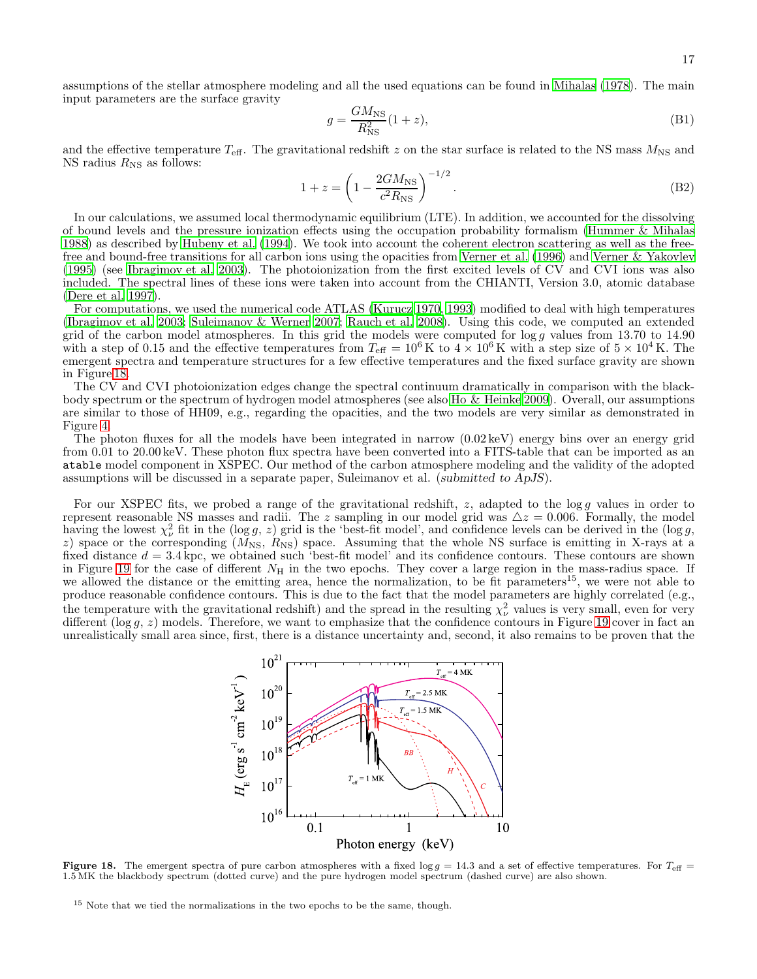17

assumptions of the stellar atmosphere modeling and all the used equations can be found in [Mihalas \(1978](#page-19-44)). The main input parameters are the surface gravity

<span id="page-16-0"></span>
$$
g = \frac{GM_{\rm NS}}{R_{\rm NS}^2} (1+z),\tag{B1}
$$

and the effective temperature  $T_{\text{eff}}$ . The gravitational redshift z on the star surface is related to the NS mass  $M_{\text{NS}}$  and NS radius  $R_{\text{NS}}$  as follows:

<span id="page-16-1"></span>
$$
1 + z = \left(1 - \frac{2GM_{\rm NS}}{c^2 R_{\rm NS}}\right)^{-1/2}.\tag{B2}
$$

In our calculations, we assumed local thermodynamic equilibrium (LTE). In addition, we accounted for the dissolving of bound levels and the pressure ionization effects using the occupation probability formalism [\(Hummer & Mihalas](#page-19-45) [1988\)](#page-19-45) as described by [Hubeny et al. \(1994\)](#page-19-46). We took into account the coherent electron scattering as well as the freefree and bound-free transitions for all carbon ions using the opacities from [Verner et al. \(1996](#page-19-47)) and [Verner & Yakovlev](#page-19-48) [\(1995\)](#page-19-48) (see [Ibragimov et al. 2003\)](#page-19-49). The photoionization from the first excited levels of CV and CVI ions was also included. The spectral lines of these ions were taken into account from the CHIANTI, Version 3.0, atomic database [\(Dere et al. 1997\)](#page-18-12).

For computations, we used the numerical code ATLAS [\(Kurucz 1970](#page-19-50), [1993\)](#page-19-51) modified to deal with high temperatures [\(Ibragimov et al. 2003;](#page-19-49) [Suleimanov & Werner 2007;](#page-19-52) [Rauch et al. 2008](#page-19-53)). Using this code, we computed an extended grid of the carbon model atmospheres. In this grid the models were computed for  $\log g$  values from 13.70 to 14.90 with a step of 0.15 and the effective temperatures from  $T_{\text{eff}} = 10^6 \text{ K}$  to  $4 \times 10^6 \text{ K}$  with a step size of  $5 \times 10^4 \text{ K}$ . The emergent spectra and temperature structures for a few effective temperatures and the fixed surface gravity are shown in Figure [18.](#page-16-2)

The CV and CVI photoionization edges change the spectral continuum dramatically in comparison with the blackbody spectrum or the spectrum of hydrogen model atmospheres (see also [Ho & Heinke 2009\)](#page-19-16). Overall, our assumptions are similar to those of HH09, e.g., regarding the opacities, and the two models are very similar as demonstrated in Figure [4.](#page-3-1)

The photon fluxes for all the models have been integrated in narrow (0.02 keV) energy bins over an energy grid from 0.01 to 20.00 keV. These photon flux spectra have been converted into a FITS-table that can be imported as an atable model component in XSPEC. Our method of the carbon atmosphere modeling and the validity of the adopted assumptions will be discussed in a separate paper, Suleimanov et al. (submitted to ApJS).

For our XSPEC fits, we probed a range of the gravitational redshift, z, adapted to the log g values in order to represent reasonable NS masses and radii. The z sampling in our model grid was  $\Delta z = 0.006$ . Formally, the model having the lowest  $\chi^2_{\nu}$  fit in the (log g, z) grid is the 'best-fit model', and confidence levels can be derived in the (log g, z) space or the corresponding  $(M_{\text{NS}}, R_{\text{NS}})$  space. Assuming that the whole NS surface is emitting in X-rays at a fixed distance  $d = 3.4$  kpc, we obtained such 'best-fit model' and its confidence contours. These contours are shown in Figure [19](#page-17-1) for the case of different  $N_{\rm H}$  in the two epochs. They cover a large region in the mass-radius space. If we allowed the distance or the emitting area, hence the normalization, to be fit parameters<sup>15</sup>, we were not able to produce reasonable confidence contours. This is due to the fact that the model parameters are highly correlated (e.g., the temperature with the gravitational redshift) and the spread in the resulting  $\chi^2_{\nu}$  values is very small, even for very different (log  $g, z$ ) models. Therefore, we want to emphasize that the confidence contours in Figure [19](#page-17-1) cover in fact an unrealistically small area since, first, there is a distance uncertainty and, second, it also remains to be proven that the



**Figure 18.** The emergent spectra of pure carbon atmospheres with a fixed log  $q = 14.3$  and a set of effective temperatures. For  $T_{\text{eff}} =$ 1.5 MK the blackbody spectrum (dotted curve) and the pure hydrogen model spectrum (dashed curve) are also shown.

<span id="page-16-2"></span> $15$  Note that we tied the normalizations in the two epochs to be the same, though.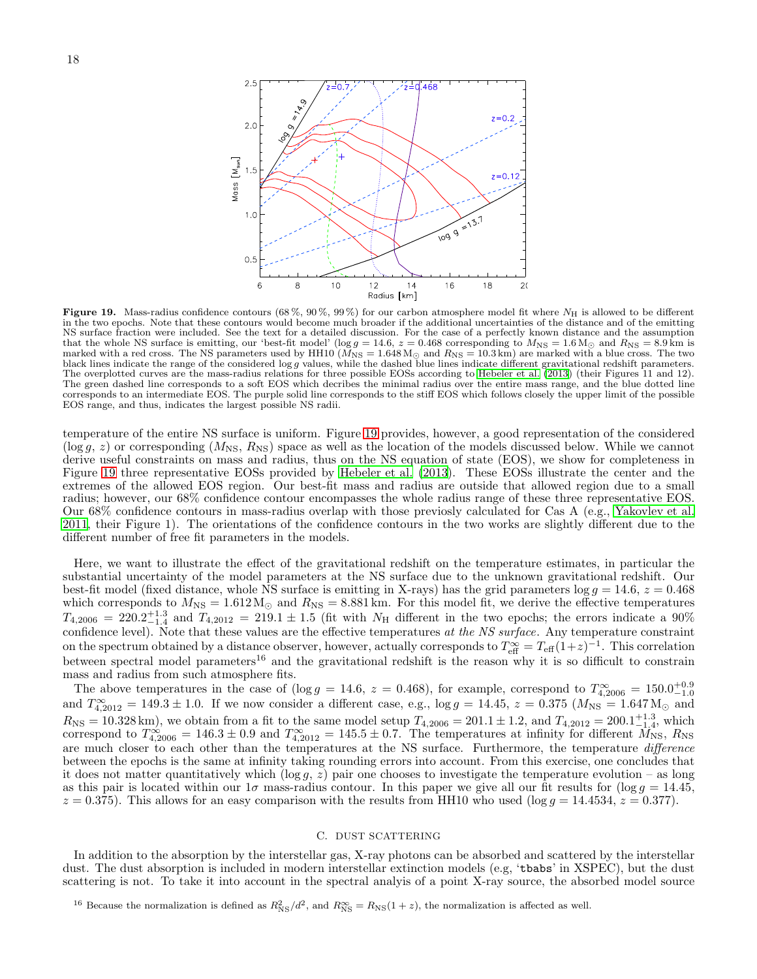

<span id="page-17-1"></span>Figure 19. Mass-radius confidence contours (68%, 90%, 99%) for our carbon atmosphere model fit where  $N_H$  is allowed to be different in the two epochs. Note that these contours would become much broader if the additional uncertainties of the distance and of the emitting NS surface fraction were included. See the text for a detailed discussion. For the case of a perfectly known distance and the assumption that the whole NS surface is emitting, our 'best-fit model' (log  $g = 14.6$ ,  $z = 0.468$  corresponding to  $M_{\rm NS} = 1.6 M_{\odot}$  and  $R_{\rm NS} = 8.9$  km is marked with a red cross. The NS parameters used by HH10 ( $M_{\rm NS} = 1.648\,\rm M_\odot$  and  $R_{\rm NS} = 10.3\,\rm km)$  are marked with a blue cross. The two black lines indicate the range of the considered log g values, while the dashed blue lines indicate different gravitational redshift parameters. The overplotted curves are the mass-radius relations for three possible EOSs according to [Hebeler et al. \(2013\)](#page-19-1) (their Figures 11 and 12). The green dashed line corresponds to a soft EOS which decribes the minimal radius over the entire mass range, and the blue dotted line corresponds to an intermediate EOS. The purple solid line corresponds to the stiff EOS which follows closely the upper limit of the possible EOS range, and thus, indicates the largest possible NS radii.

temperature of the entire NS surface is uniform. Figure [19](#page-17-1) provides, however, a good representation of the considered  $(\log g, z)$  or corresponding  $(M_{\rm NS}, R_{\rm NS})$  space as well as the location of the models discussed below. While we cannot derive useful constraints on mass and radius, thus on the NS equation of state (EOS), we show for completeness in Figure [19](#page-17-1) three representative EOSs provided by [Hebeler et al. \(2013](#page-19-1)). These EOSs illustrate the center and the extremes of the allowed EOS region. Our best-fit mass and radius are outside that allowed region due to a small radius; however, our 68% confidence contour encompasses the whole radius range of these three representative EOS. Our 68% confidence contours in mass-radius overlap with those previosly calculated for Cas A (e.g., [Yakovlev et al.](#page-19-54) [2011,](#page-19-54) their Figure 1). The orientations of the confidence contours in the two works are slightly different due to the different number of free fit parameters in the models.

Here, we want to illustrate the effect of the gravitational redshift on the temperature estimates, in particular the substantial uncertainty of the model parameters at the NS surface due to the unknown gravitational redshift. Our best-fit model (fixed distance, whole NS surface is emitting in X-rays) has the grid parameters  $\log g = 14.6$ ,  $z = 0.468$ which corresponds to  $M_{\text{NS}} = 1.612 M_{\odot}$  and  $R_{\text{NS}} = 8.881 \text{ km}$ . For this model fit, we derive the effective temperatures  $T_{4,2006} = 220.2_{-1.4}^{+1.3}$  and  $T_{4,2012} = 219.1 \pm 1.5$  (fit with  $N_{\rm H}$  different in the two epochs; the errors indicate a 90% confidence level). Note that these values are the effective temperatures at the NS surface. Any temperature constraint on the spectrum obtained by a distance observer, however, actually corresponds to  $T_{\text{eff}}^{\infty} = T_{\text{eff}}(1+z)^{-1}$ . This correlation between spectral model parameters<sup>16</sup> and the gravitational redshift is the reason why it is so difficult to constrain mass and radius from such atmosphere fits.

The above temperatures in the case of ( $\log g = 14.6$ ,  $z = 0.468$ ), for example, correspond to  $T_{4,2006}^{\infty} = 150.0^{+0.9}_{-1.0}$ and  $T_{4,2012}^{\infty} = 149.3 \pm 1.0$ . If we now consider a different case, e.g.,  $\log g = 14.45$ ,  $z = 0.375$  ( $M_{\text{NS}} = 1.647 \text{M}_{\odot}$  and  $R_{\rm NS} = 10.328 \,\rm km$ ), we obtain from a fit to the same model setup  $T_{4,2006} = 201.1 \pm 1.2$ , and  $T_{4,2012} = 200.1^{+1.3}_{-1.4}$ , which correspond to  $T_{4,2006}^{\infty} = 146.3 \pm 0.9$  and  $T_{4,2012}^{\infty} = 145.5 \pm 0.7$ . The temperatures at infinity for different  $\overline{M}_{\text{NS}}$ ,  $R_{\text{NS}}$ are much closer to each other than the temperatures at the NS surface. Furthermore, the temperature difference between the epochs is the same at infinity taking rounding errors into account. From this exercise, one concludes that it does not matter quantitatively which  $(\log g, z)$  pair one chooses to investigate the temperature evolution – as long as this pair is located within our  $1\sigma$  mass-radius contour. In this paper we give all our fit results for  $(\log g = 14.45,$  $z = 0.375$ . This allows for an easy comparison with the results from HH10 who used (log  $g = 14.4534$ ,  $z = 0.377$ ).

# C. DUST SCATTERING

<span id="page-17-0"></span>In addition to the absorption by the interstellar gas, X-ray photons can be absorbed and scattered by the interstellar dust. The dust absorption is included in modern interstellar extinction models (e.g, 'tbabs' in XSPEC), but the dust scattering is not. To take it into account in the spectral analyis of a point X-ray source, the absorbed model source

<sup>16</sup> Because the normalization is defined as  $R_{\rm NS}^2/d^2$ , and  $R_{\rm NS}^{\infty} = R_{\rm NS}(1+z)$ , the normalization is affected as well.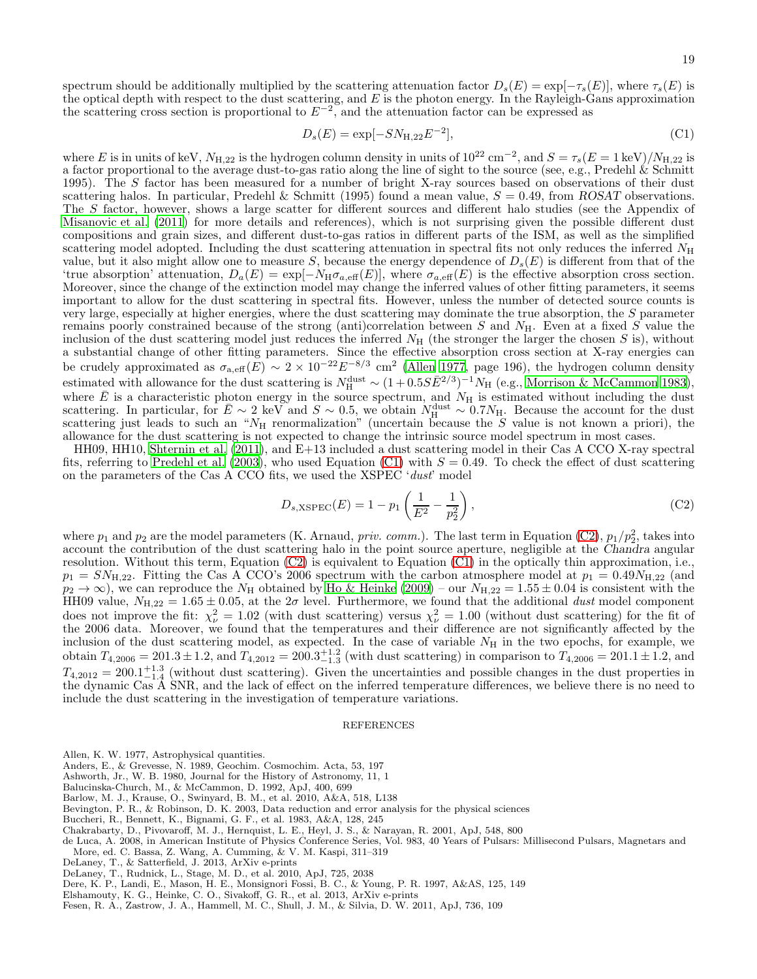<span id="page-18-14"></span>
$$
D_s(E) = \exp[-SN_{H,22}E^{-2}],
$$
\n(C1)

where E is in units of keV,  $N_{\text{H},22}$  is the hydrogen column density in units of  $10^{22} \text{ cm}^{-2}$ , and  $S = \tau_s(E = 1 \text{ keV})/N_{\text{H},22}$  is a factor proportional to the average dust-to-gas ratio along the line of sight to the source (see, e.g., Predehl  $\&$  Schmitt 1995). The S factor has been measured for a number of bright X-ray sources based on observations of their dust scattering halos. In particular, Predehl & Schmitt (1995) found a mean value,  $S = 0.49$ , from ROSAT observations. The S factor, however, shows a large scatter for different sources and different halo studies (see the Appendix of [Misanovic et al. \(2011\)](#page-19-55) for more details and references), which is not surprising given the possible different dust compositions and grain sizes, and different dust-to-gas ratios in different parts of the ISM, as well as the simplified scattering model adopted. Including the dust scattering attenuation in spectral fits not only reduces the inferred  $N_{\rm H}$ value, but it also might allow one to measure S, because the energy dependence of  $D_s(E)$  is different from that of the 'true absorption' attenuation,  $D_a(E) = \exp[-N_H \sigma_{a,\text{eff}}(E)]$ , where  $\sigma_{a,\text{eff}}(E)$  is the effective absorption cross section. Moreover, since the change of the extinction model may change the inferred values of other fitting parameters, it seems important to allow for the dust scattering in spectral fits. However, unless the number of detected source counts is very large, especially at higher energies, where the dust scattering may dominate the true absorption, the S parameter remains poorly constrained because of the strong (anti)correlation between S and  $N_{\rm H}$ . Even at a fixed S value the inclusion of the dust scattering model just reduces the inferred  $N_H$  (the stronger the larger the chosen S is), without a substantial change of other fitting parameters. Since the effective absorption cross section at X-ray energies can be crudely approximated as  $\sigma_{a,\text{eff}}(E) \sim 2 \times 10^{-22} E^{-8/3}$  cm<sup>2</sup> [\(Allen 1977,](#page-18-13) page 196), the hydrogen column density estimated with allowance for the dust scattering is  $N_{\rm H}^{\rm dust} \sim (1+0.5S\bar{E}^{2/3})^{-1} N_{\rm H}$  (e.g., [Morrison & McCammon 1983](#page-19-56)), where  $\bar{E}$  is a characteristic photon energy in the source spectrum, and  $N_H$  is estimated without including the dust scattering. In particular, for  $\bar{E} \sim 2 \text{ keV}$  and  $S \sim 0.5$ , we obtain  $N_{\rm H}^{\rm dust} \sim 0.7 N_{\rm H}$ . Because the account for the dust scattering just leads to such an " $N_{\rm H}$  renormalization" (uncertain because the S value is not known a priori), the allowance for the dust scattering is not expected to change the intrinsic source model spectrum in most cases.

HH09, HH10, [Shternin et al. \(2011](#page-19-6)), and E+13 included a dust scattering model in their Cas A CCO X-ray spectral fits, referring to [Predehl et al. \(2003\)](#page-19-57), who used Equation [\(C1\)](#page-18-14) with  $S = 0.49$ . To check the effect of dust scattering on the parameters of the Cas A CCO fits, we used the  $XSPEC'$  'dust' model

<span id="page-18-15"></span>
$$
D_{s, \text{XSPEC}}(E) = 1 - p_1 \left( \frac{1}{E^2} - \frac{1}{p_2^2} \right),\tag{C2}
$$

where  $p_1$  and  $p_2$  are the model parameters (K. Arnaud, *priv. comm.*). The last term in Equation [\(C2\)](#page-18-15),  $p_1/p_2^2$ , takes into account the contribution of the dust scattering halo in the point source aperture, negligible at the Chandra angular resolution. Without this term, Equation [\(C2\)](#page-18-15) is equivalent to Equation [\(C1\)](#page-18-14) in the optically thin approximation, i.e.,  $p_1 = SN_{\text{H},22}$ . Fitting the Cas A CCO's 2006 spectrum with the carbon atmosphere model at  $p_1 = 0.49 N_{\text{H},22}$  (and  $p_2 \to \infty$ ), we can reproduce the  $N_H$  obtained by [Ho & Heinke \(2009\)](#page-19-16) – our  $N_{H,22} = 1.55 \pm 0.04$  is consistent with the HH09 value,  $N_{\text{H},22} = 1.65 \pm 0.05$ , at the  $2\sigma$  level. Furthermore, we found that the additional dust model component does not improve the fit:  $\chi^2_{\nu} = 1.02$  (with dust scattering) versus  $\chi^2_{\nu} = 1.00$  (without dust scattering) for the fit of the 2006 data. Moreover, we found that the temperatures and their difference are not significantly affected by the inclusion of the dust scattering model, as expected. In the case of variable  $N_H$  in the two epochs, for example, we obtain  $T_{4,2006} = 201.3 \pm 1.2$ , and  $T_{4,2012} = 200.3_{-1.3}^{+1.2}$  (with dust scattering) in comparison to  $T_{4,2006} = 201.1 \pm 1.2$ , and  $T_{4,2012} = 200.1_{-1.4}^{+1.3}$  (without dust scattering). Given the uncertainties and possible changes in the dust properties in the dynamic Cas A SNR, and the lack of effect on the inferred temperature differences, we believe there is no need to include the dust scattering in the investigation of temperature variations.

#### REFERENCES

- <span id="page-18-13"></span>Allen, K. W. 1977, Astrophysical quantities.
- <span id="page-18-10"></span>Anders, E., & Grevesse, N. 1989, Geochim. Cosmochim. Acta, 53, 197
- <span id="page-18-1"></span>Ashworth, Jr., W. B. 1980, Journal for the History of Astronomy, 11, 1
- <span id="page-18-6"></span>Balucinska-Church, M., & McCammon, D. 1992, ApJ, 400, 699
- <span id="page-18-7"></span>Barlow, M. J., Krause, O., Swinyard, B. M., et al. 2010, A&A, 518, L138
- <span id="page-18-11"></span>Bevington, P. R., & Robinson, D. K. 2003, Data reduction and error analysis for the physical sciences
- <span id="page-18-9"></span>Buccheri, R., Bennett, K., Bignami, G. F., et al. 1983, A&A, 128, 245
- <span id="page-18-3"></span>Chakrabarty, D., Pivovaroff, M. J., Hernquist, L. E., Heyl, J. S., & Narayan, R. 2001, ApJ, 548, 800
- <span id="page-18-4"></span>de Luca, A. 2008, in American Institute of Physics Conference Series, Vol. 983, 40 Years of Pulsars: Millisecond Pulsars, Magnetars and More, ed. C. Bassa, Z. Wang, A. Cumming, & V. M. Kaspi, 311–319
- <span id="page-18-5"></span>DeLaney, T., & Satterfield, J. 2013, ArXiv e-prints
- <span id="page-18-2"></span>DeLaney, T., Rudnick, L., Stage, M. D., et al. 2010, ApJ, 725, 2038
- <span id="page-18-12"></span>Dere, K. P., Landi, E., Mason, H. E., Monsignori Fossi, B. C., & Young, P. R. 1997, A&AS, 125, 149
- <span id="page-18-0"></span>Elshamouty, K. G., Heinke, C. O., Sivakoff, G. R., et al. 2013, ArXiv e-prints
- <span id="page-18-8"></span>Fesen, R. A., Zastrow, J. A., Hammell, M. C., Shull, J. M., & Silvia, D. W. 2011, ApJ, 736, 109